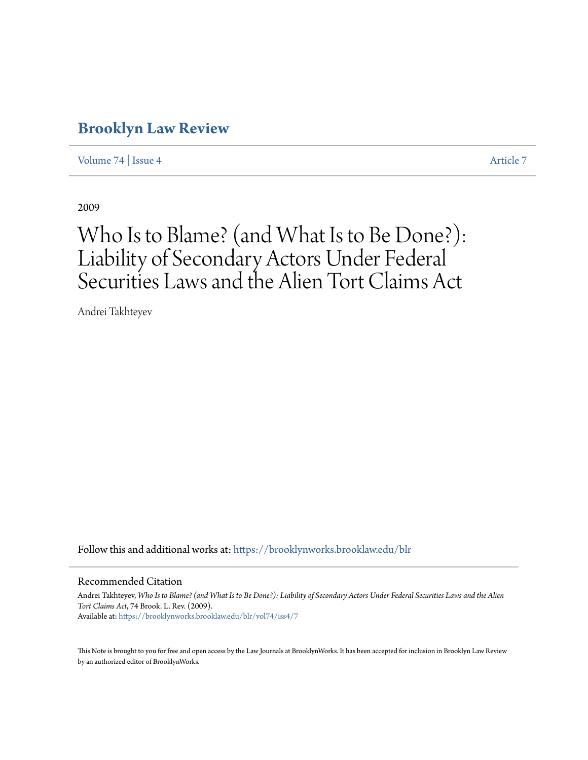# **[Brooklyn Law Review](https://brooklynworks.brooklaw.edu/blr?utm_source=brooklynworks.brooklaw.edu%2Fblr%2Fvol74%2Fiss4%2F7&utm_medium=PDF&utm_campaign=PDFCoverPages)**

[Volume 74](https://brooklynworks.brooklaw.edu/blr/vol74?utm_source=brooklynworks.brooklaw.edu%2Fblr%2Fvol74%2Fiss4%2F7&utm_medium=PDF&utm_campaign=PDFCoverPages) | [Issue 4](https://brooklynworks.brooklaw.edu/blr/vol74/iss4?utm_source=brooklynworks.brooklaw.edu%2Fblr%2Fvol74%2Fiss4%2F7&utm_medium=PDF&utm_campaign=PDFCoverPages) [Article 7](https://brooklynworks.brooklaw.edu/blr/vol74/iss4/7?utm_source=brooklynworks.brooklaw.edu%2Fblr%2Fvol74%2Fiss4%2F7&utm_medium=PDF&utm_campaign=PDFCoverPages)

2009

# Who Is to Blame? (and What Is to Be Done?): Liability of Secondary Actors Under Federal Securities Laws and the Alien Tort Claims Act

Andrei Takhteyev

Follow this and additional works at: [https://brooklynworks.brooklaw.edu/blr](https://brooklynworks.brooklaw.edu/blr?utm_source=brooklynworks.brooklaw.edu%2Fblr%2Fvol74%2Fiss4%2F7&utm_medium=PDF&utm_campaign=PDFCoverPages)

#### Recommended Citation

Andrei Takhteyev, *Who Is to Blame? (and What Is to Be Done?): Liability of Secondary Actors Under Federal Securities Laws and the Alien Tort Claims Act*, 74 Brook. L. Rev. (2009). Available at: [https://brooklynworks.brooklaw.edu/blr/vol74/iss4/7](https://brooklynworks.brooklaw.edu/blr/vol74/iss4/7?utm_source=brooklynworks.brooklaw.edu%2Fblr%2Fvol74%2Fiss4%2F7&utm_medium=PDF&utm_campaign=PDFCoverPages)

This Note is brought to you for free and open access by the Law Journals at BrooklynWorks. It has been accepted for inclusion in Brooklyn Law Review by an authorized editor of BrooklynWorks.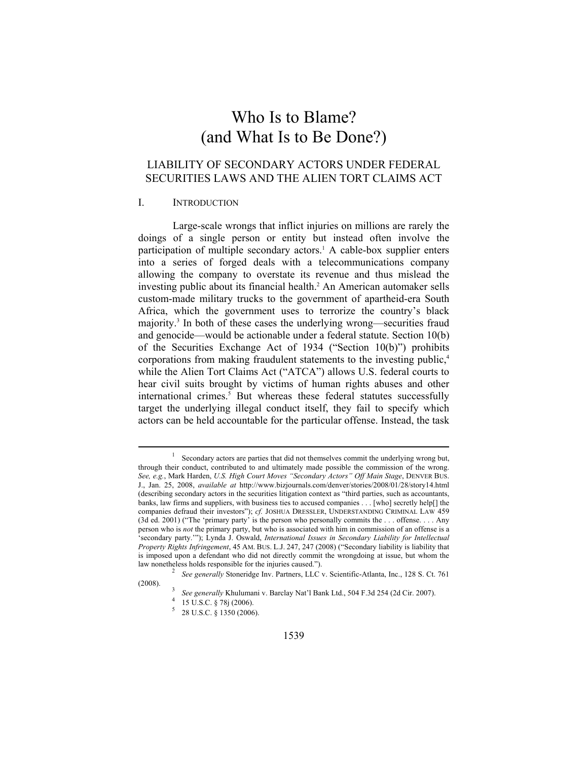# Who Is to Blame? (and What Is to Be Done?)

# LIABILITY OF SECONDARY ACTORS UNDER FEDERAL SECURITIES LAWS AND THE ALIEN TORT CLAIMS ACT

#### I. INTRODUCTION

 $\overline{a}$ 

Large-scale wrongs that inflict injuries on millions are rarely the doings of a single person or entity but instead often involve the participation of multiple secondary actors.<sup>1</sup> A cable-box supplier enters into a series of forged deals with a telecommunications company allowing the company to overstate its revenue and thus mislead the investing public about its financial health.2 An American automaker sells custom-made military trucks to the government of apartheid-era South Africa, which the government uses to terrorize the country's black majority.<sup>3</sup> In both of these cases the underlying wrong—securities fraud and genocide—would be actionable under a federal statute. Section 10(b) of the Securities Exchange Act of 1934 ("Section 10(b)") prohibits corporations from making fraudulent statements to the investing public,<sup>4</sup> while the Alien Tort Claims Act ("ATCA") allows U.S. federal courts to hear civil suits brought by victims of human rights abuses and other international crimes.<sup>5</sup> But whereas these federal statutes successfully target the underlying illegal conduct itself, they fail to specify which actors can be held accountable for the particular offense. Instead, the task

<sup>1</sup> Secondary actors are parties that did not themselves commit the underlying wrong but, through their conduct, contributed to and ultimately made possible the commission of the wrong. *See, e.g.*, Mark Harden, *U.S. High Court Moves "Secondary Actors" Off Main Stage*, DENVER BUS. J., Jan. 25, 2008, *available at* http://www.bizjournals.com/denver/stories/2008/01/28/story14.html (describing secondary actors in the securities litigation context as "third parties, such as accountants, banks, law firms and suppliers, with business ties to accused companies . . . [who] secretly help[] the companies defraud their investors"); *cf.* JOSHUA DRESSLER, UNDERSTANDING CRIMINAL LAW 459 (3d ed. 2001) ("The 'primary party' is the person who personally commits the . . . offense. . . . Any person who is *not* the primary party, but who is associated with him in commission of an offense is a 'secondary party.'"); Lynda J. Oswald, *International Issues in Secondary Liability for Intellectual Property Rights Infringement*, 45 AM. BUS. L.J. 247, 247 (2008) ("Secondary liability is liability that is imposed upon a defendant who did not directly commit the wrongdoing at issue, but whom the law nonetheless holds responsible for the injuries caused."). <sup>2</sup> *See generally* Stoneridge Inv. Partners, LLC v. Scientific-Atlanta, Inc., 128 S. Ct. 761

<sup>(2008). 3</sup> *See generally* Khulumani v. Barclay Nat'l Bank Ltd., 504 F.3d 254 (2d Cir. 2007). 4

 $4$  15 U.S.C. § 78j (2006).

 $5\quad 28 \text{ U.S.C. }$  § 1350 (2006).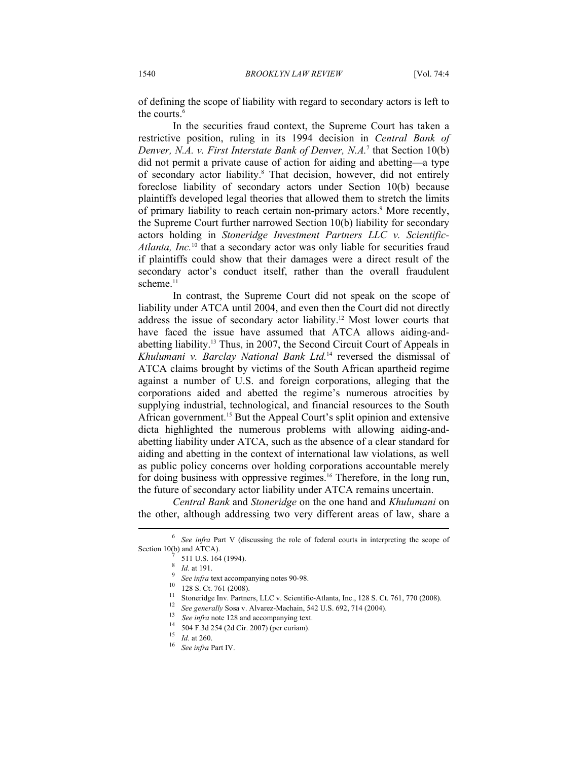of defining the scope of liability with regard to secondary actors is left to the courts.<sup>6</sup>

In the securities fraud context, the Supreme Court has taken a restrictive position, ruling in its 1994 decision in *Central Bank of Denver, N.A. v. First Interstate Bank of Denver, N.A.*<sup>7</sup> that Section 10(b) did not permit a private cause of action for aiding and abetting—a type of secondary actor liability.<sup>8</sup> That decision, however, did not entirely foreclose liability of secondary actors under Section 10(b) because plaintiffs developed legal theories that allowed them to stretch the limits of primary liability to reach certain non-primary actors.<sup>9</sup> More recently, the Supreme Court further narrowed Section 10(b) liability for secondary actors holding in *Stoneridge Investment Partners LLC v. Scientific-Atlanta, Inc.*10 that a secondary actor was only liable for securities fraud if plaintiffs could show that their damages were a direct result of the secondary actor's conduct itself, rather than the overall fraudulent scheme.<sup>11</sup>

In contrast, the Supreme Court did not speak on the scope of liability under ATCA until 2004, and even then the Court did not directly address the issue of secondary actor liability.12 Most lower courts that have faced the issue have assumed that ATCA allows aiding-andabetting liability.13 Thus, in 2007, the Second Circuit Court of Appeals in *Khulumani v. Barclay National Bank Ltd.*14 reversed the dismissal of ATCA claims brought by victims of the South African apartheid regime against a number of U.S. and foreign corporations, alleging that the corporations aided and abetted the regime's numerous atrocities by supplying industrial, technological, and financial resources to the South African government.<sup>15</sup> But the Appeal Court's split opinion and extensive dicta highlighted the numerous problems with allowing aiding-andabetting liability under ATCA, such as the absence of a clear standard for aiding and abetting in the context of international law violations, as well as public policy concerns over holding corporations accountable merely for doing business with oppressive regimes.16 Therefore, in the long run, the future of secondary actor liability under ATCA remains uncertain.

*Central Bank* and *Stoneridge* on the one hand and *Khulumani* on the other, although addressing two very different areas of law, share a  $\overline{\phantom{a}}$ 

<sup>6</sup> *See infra* Part V (discussing the role of federal courts in interpreting the scope of Section 10(b) and ATCA).

 $\frac{7}{8}$  511 U.S. 164 (1994).

 $\frac{8}{9}$  *Id.* at 191.

<sup>&</sup>lt;sup>9</sup> *See infra* text accompanying notes 90-98.<br><sup>10</sup> 128 S. Ct. 761 (2008).

<sup>12 128</sup> S. Ct. 761 (2008).<br>
12 128 S. Ct. 761 (2008).<br>
12 Stoneridge Inv. Partners, LLC v. Scientific-Atlanta, Inc., 128 S. Ct. 761, 770 (2008).<br>
13 See infra note 128 and accompanying text.<br>
14 504 F.3d 254 (2d Cir. 2007)

<sup>&</sup>lt;sup>16</sup> *See infra* Part IV.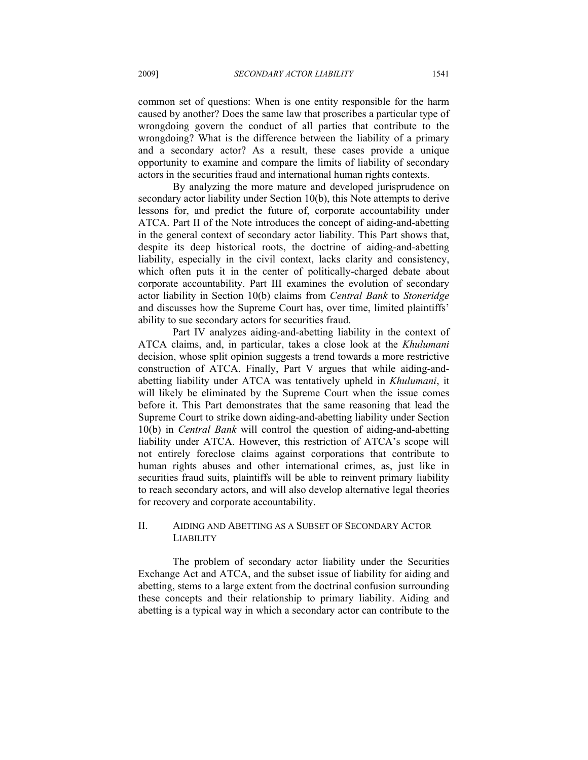common set of questions: When is one entity responsible for the harm caused by another? Does the same law that proscribes a particular type of wrongdoing govern the conduct of all parties that contribute to the wrongdoing? What is the difference between the liability of a primary and a secondary actor? As a result, these cases provide a unique opportunity to examine and compare the limits of liability of secondary actors in the securities fraud and international human rights contexts.

By analyzing the more mature and developed jurisprudence on secondary actor liability under Section 10(b), this Note attempts to derive lessons for, and predict the future of, corporate accountability under ATCA. Part II of the Note introduces the concept of aiding-and-abetting in the general context of secondary actor liability. This Part shows that, despite its deep historical roots, the doctrine of aiding-and-abetting liability, especially in the civil context, lacks clarity and consistency, which often puts it in the center of politically-charged debate about corporate accountability. Part III examines the evolution of secondary actor liability in Section 10(b) claims from *Central Bank* to *Stoneridge* and discusses how the Supreme Court has, over time, limited plaintiffs' ability to sue secondary actors for securities fraud.

Part IV analyzes aiding-and-abetting liability in the context of ATCA claims, and, in particular, takes a close look at the *Khulumani* decision, whose split opinion suggests a trend towards a more restrictive construction of ATCA. Finally, Part V argues that while aiding-andabetting liability under ATCA was tentatively upheld in *Khulumani*, it will likely be eliminated by the Supreme Court when the issue comes before it. This Part demonstrates that the same reasoning that lead the Supreme Court to strike down aiding-and-abetting liability under Section 10(b) in *Central Bank* will control the question of aiding-and-abetting liability under ATCA. However, this restriction of ATCA's scope will not entirely foreclose claims against corporations that contribute to human rights abuses and other international crimes, as, just like in securities fraud suits, plaintiffs will be able to reinvent primary liability to reach secondary actors, and will also develop alternative legal theories for recovery and corporate accountability.

# II. AIDING AND ABETTING AS A SUBSET OF SECONDARY ACTOR LIABILITY

The problem of secondary actor liability under the Securities Exchange Act and ATCA, and the subset issue of liability for aiding and abetting, stems to a large extent from the doctrinal confusion surrounding these concepts and their relationship to primary liability. Aiding and abetting is a typical way in which a secondary actor can contribute to the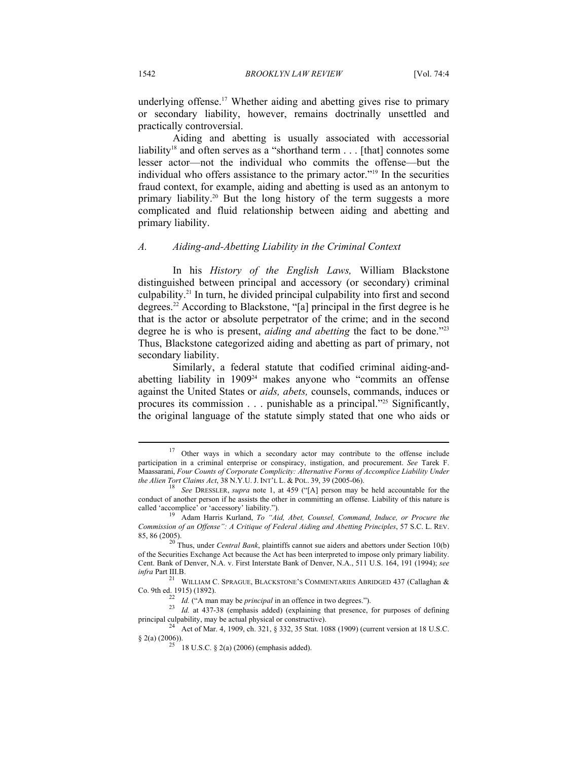underlying offense.<sup>17</sup> Whether aiding and abetting gives rise to primary or secondary liability, however, remains doctrinally unsettled and practically controversial.

Aiding and abetting is usually associated with accessorial liability<sup>18</sup> and often serves as a "shorthand term  $\ldots$  [that] connotes some lesser actor—not the individual who commits the offense—but the individual who offers assistance to the primary actor."19 In the securities fraud context, for example, aiding and abetting is used as an antonym to primary liability.<sup>20</sup> But the long history of the term suggests a more complicated and fluid relationship between aiding and abetting and primary liability.

#### *A. Aiding-and-Abetting Liability in the Criminal Context*

In his *History of the English Laws,* William Blackstone distinguished between principal and accessory (or secondary) criminal culpability.21 In turn, he divided principal culpability into first and second degrees.22 According to Blackstone, "[a] principal in the first degree is he that is the actor or absolute perpetrator of the crime; and in the second degree he is who is present, *aiding and abetting* the fact to be done.<sup>223</sup> Thus, Blackstone categorized aiding and abetting as part of primary, not secondary liability.

Similarly, a federal statute that codified criminal aiding-andabetting liability in 190924 makes anyone who "commits an offense against the United States or *aids, abets,* counsels, commands, induces or procures its commission . . . punishable as a principal."25 Significantly, the original language of the statute simply stated that one who aids or

<sup>&</sup>lt;sup>17</sup> Other ways in which a secondary actor may contribute to the offense include participation in a criminal enterprise or conspiracy, instigation, and procurement. *See* Tarek F. Maassarani, *Four Counts of Corporate Complicity: Alternative Forms of Accomplice Liability Under* 

<sup>&</sup>lt;sup>18</sup> See DRESSLER, *supra* note 1, at 459 ("[A] person may be held accountable for the conduct of another person if he assists the other in committing an offense. Liability of this nature is called 'accomplice' or 'accessory' liability.").

Adam Harris Kurland, To "Aid, Abet, Counsel, Command, Induce, or Procure the *Commission of an Offense": A Critique of Federal Aiding and Abetting Principles*, 57 S.C. L. REV. 85, 86 (2005).

20 Thus, under *Central Bank*, plaintiffs cannot sue aiders and abettors under Section 10(b) of the Securities Exchange Act because the Act has been interpreted to impose only primary liability. Cent. Bank of Denver, N.A. v. First Interstate Bank of Denver, N.A., 511 U.S. 164, 191 (1994); *see* 

*infra* Part III.B.<br><sup>21</sup> WILLIAM C. SPRAGUE, BLACKSTONE'S COMMENTARIES ABRIDGED 437 (Callaghan & Co. 9th ed. 1915) (1892).

 $\frac{22}{24}$  *Id.* ("A man may be *principal* in an offence in two degrees.").<br><sup>23</sup> *Id.* at 437-38 (emphasis added) (explaining that presence, for purposes of defining principal culpability, may be actual physical or constructive).<br><sup>24</sup> Act of Mar. 4, 1909, ch. 321, § 332, 35 Stat. 1088 (1909) (current version at 18 U.S.C.

 $\S$  2(a) (2006)).<br><sup>25</sup> 18 U.S.C.  $\S$  2(a) (2006) (emphasis added).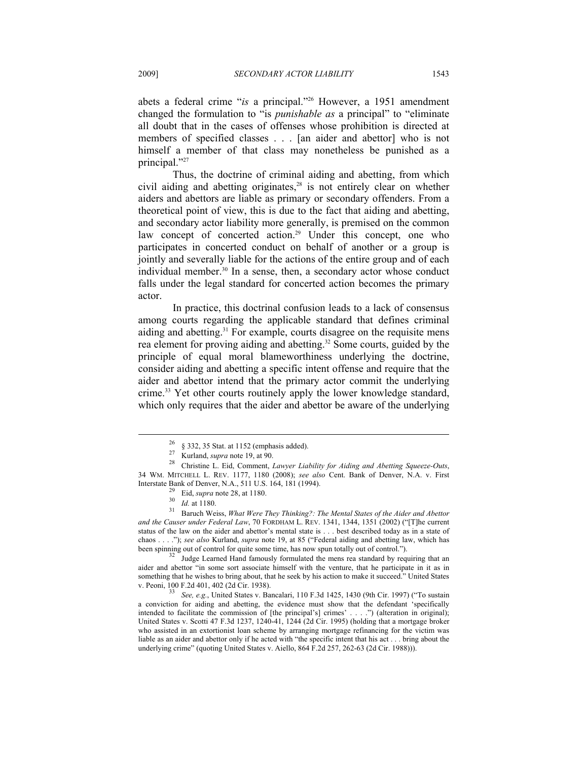abets a federal crime "*is* a principal."26 However, a 1951 amendment changed the formulation to "is *punishable as* a principal" to "eliminate all doubt that in the cases of offenses whose prohibition is directed at members of specified classes . . . [an aider and abettor] who is not himself a member of that class may nonetheless be punished as a principal."27

Thus, the doctrine of criminal aiding and abetting, from which civil aiding and abetting originates,<sup>28</sup> is not entirely clear on whether aiders and abettors are liable as primary or secondary offenders. From a theoretical point of view, this is due to the fact that aiding and abetting, and secondary actor liability more generally, is premised on the common law concept of concerted action.<sup>29</sup> Under this concept, one who participates in concerted conduct on behalf of another or a group is jointly and severally liable for the actions of the entire group and of each individual member. $30 \text{ In a sense, then, a secondary actor whose conduct}$ falls under the legal standard for concerted action becomes the primary actor.

In practice, this doctrinal confusion leads to a lack of consensus among courts regarding the applicable standard that defines criminal aiding and abetting.<sup>31</sup> For example, courts disagree on the requisite mens rea element for proving aiding and abetting.32 Some courts, guided by the principle of equal moral blameworthiness underlying the doctrine, consider aiding and abetting a specific intent offense and require that the aider and abettor intend that the primary actor commit the underlying crime.33 Yet other courts routinely apply the lower knowledge standard, which only requires that the aider and abettor be aware of the underlying

 $\frac{26}{27}$  § 332, 35 Stat. at 1152 (emphasis added).<br><sup>27</sup> Kurland, *supra* note 19, at 90.

<sup>28</sup> Christine L. Eid, Comment, *Lawyer Liability for Aiding and Abetting Squeeze-Outs*, 34 WM. MITCHELL L. REV. 1177, 1180 (2008); *see also* Cent. Bank of Denver, N.A. v. First

Interstate Bank of Denver, N.A., 511 U.S. 164, 181 (1994).<br><sup>29</sup> Eid, *supra* note 28, at 1180.<br><sup>31</sup> Baruch Weiss, *What Were They Thinking?: The Mental States of the Aider and Abettor*<br><sup>31</sup> Baruch Weiss, *What Were They Th and the Causer under Federal Law*, 70 FORDHAM L. REV. 1341, 1344, 1351 (2002) ("[T]he current status of the law on the aider and abettor's mental state is . . . best described today as in a state of chaos . . . ."); *see also* Kurland, *supra* note 19, at 85 ("Federal aiding and abetting law, which has been spinning out of control for quite some time, has now spun totally out of control.").<br><sup>32</sup> Judge Learned Hand famously formulated the mens rea standard by requiring that an

aider and abettor "in some sort associate himself with the venture, that he participate in it as in something that he wishes to bring about, that he seek by his action to make it succeed." United States v. Peoni, 100 F.2d 401, 402 (2d Cir. 1938).

*See, e.g.*, United States v. Bancalari, 110 F.3d 1425, 1430 (9th Cir. 1997) ("To sustain a conviction for aiding and abetting, the evidence must show that the defendant 'specifically intended to facilitate the commission of [the principal's] crimes' . . . .") (alteration in original); United States v. Scotti 47 F.3d 1237, 1240-41, 1244 (2d Cir. 1995) (holding that a mortgage broker who assisted in an extortionist loan scheme by arranging mortgage refinancing for the victim was liable as an aider and abettor only if he acted with "the specific intent that his act . . . bring about the underlying crime" (quoting United States v. Aiello, 864 F.2d 257, 262-63 (2d Cir. 1988))).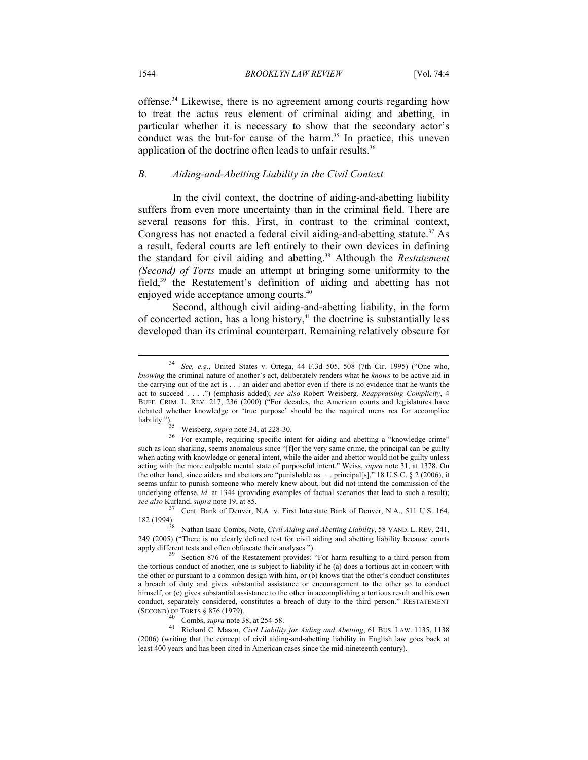offense.34 Likewise, there is no agreement among courts regarding how to treat the actus reus element of criminal aiding and abetting, in particular whether it is necessary to show that the secondary actor's conduct was the but-for cause of the harm.<sup>35</sup> In practice, this uneven application of the doctrine often leads to unfair results.<sup>36</sup>

#### *B. Aiding-and-Abetting Liability in the Civil Context*

In the civil context, the doctrine of aiding-and-abetting liability suffers from even more uncertainty than in the criminal field. There are several reasons for this. First, in contrast to the criminal context, Congress has not enacted a federal civil aiding-and-abetting statute.37 As a result, federal courts are left entirely to their own devices in defining the standard for civil aiding and abetting.<sup>38</sup> Although the *Restatement (Second) of Torts* made an attempt at bringing some uniformity to the field,39 the Restatement's definition of aiding and abetting has not enjoyed wide acceptance among courts.40

Second, although civil aiding-and-abetting liability, in the form of concerted action, has a long history, $41$  the doctrine is substantially less developed than its criminal counterpart. Remaining relatively obscure for

(SECOND) OF TORTS § 876 (1979). 40 Combs, *supra* note 38, at 254-58. 41 Richard C. Mason, *Civil Liability for Aiding and Abetting*, 61 BUS. LAW. 1135, 1138 (2006) (writing that the concept of civil aiding-and-abetting liability in English law goes back at least 400 years and has been cited in American cases since the mid-nineteenth century).

<sup>34</sup> *See, e.g.*, United States v. Ortega, 44 F.3d 505, 508 (7th Cir. 1995) ("One who, *knowing* the criminal nature of another's act, deliberately renders what he *knows* to be active aid in the carrying out of the act is . . . an aider and abettor even if there is no evidence that he wants the act to succeed . . . .") (emphasis added); *see also* Robert Weisberg*, Reappraising Complicity*, 4 BUFF. CRIM. L. REV. 217, 236 (2000) ("For decades, the American courts and legislatures have debated whether knowledge or 'true purpose' should be the required mens rea for accomplice liability.").<br><sup>35</sup> Weisberg, *supra* note 34, at 228-30.<br><sup>36</sup> For example, requiring specific intent for aiding and abetting a "knowledge crime"

such as loan sharking, seems anomalous since "[f]or the very same crime, the principal can be guilty when acting with knowledge or general intent, while the aider and abettor would not be guilty unless acting with the more culpable mental state of purposeful intent." Weiss, *supra* note 31, at 1378. On the other hand, since aiders and abettors are "punishable as . . . principal[s]," 18 U.S.C. § 2 (2006), it seems unfair to punish someone who merely knew about, but did not intend the commission of the underlying offense. *Id.* at 1344 (providing examples of factual scenarios that lead to such a result); *see also* Kurland, *supra* note 19, at 85. 37 Cent. Bank of Denver, N.A., 2011 U.S. 164, 311 U.S. 164,

<sup>182 (1994). 38</sup> Nathan Isaac Combs, Note, *Civil Aiding and Abetting Liability*, 58 VAND. L. REV. 241,

<sup>249 (2005) (&</sup>quot;There is no clearly defined test for civil aiding and abetting liability because courts apply different tests and often obfuscate their analyses.").<br><sup>39</sup> Section 876 of the Restatement provides: "For harm resulting to a third person from

the tortious conduct of another, one is subject to liability if he (a) does a tortious act in concert with the other or pursuant to a common design with him, or (b) knows that the other's conduct constitutes a breach of duty and gives substantial assistance or encouragement to the other so to conduct himself, or (c) gives substantial assistance to the other in accomplishing a tortious result and his own conduct, separately considered, constitutes a breach of duty to the third person." RESTATEMENT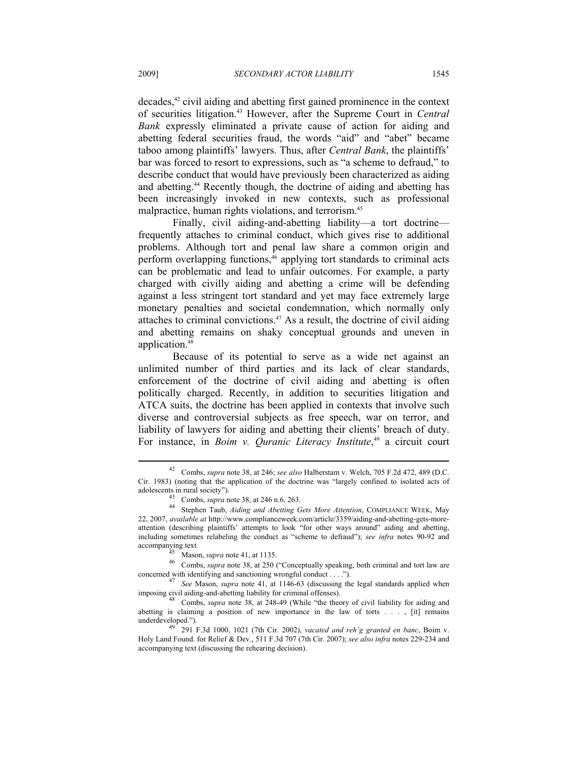decades,<sup>42</sup> civil aiding and abetting first gained prominence in the context of securities litigation.43 However, after the Supreme Court in *Central Bank* expressly eliminated a private cause of action for aiding and abetting federal securities fraud, the words "aid" and "abet" became taboo among plaintiffs' lawyers. Thus, after *Central Bank*, the plaintiffs' bar was forced to resort to expressions, such as "a scheme to defraud," to describe conduct that would have previously been characterized as aiding and abetting.44 Recently though, the doctrine of aiding and abetting has been increasingly invoked in new contexts, such as professional malpractice, human rights violations, and terrorism.<sup>45</sup>

Finally, civil aiding-and-abetting liability—a tort doctrine frequently attaches to criminal conduct, which gives rise to additional problems. Although tort and penal law share a common origin and perform overlapping functions,<sup>46</sup> applying tort standards to criminal acts can be problematic and lead to unfair outcomes. For example, a party charged with civilly aiding and abetting a crime will be defending against a less stringent tort standard and yet may face extremely large monetary penalties and societal condemnation, which normally only attaches to criminal convictions.47 As a result, the doctrine of civil aiding and abetting remains on shaky conceptual grounds and uneven in application.<sup>48</sup>

Because of its potential to serve as a wide net against an unlimited number of third parties and its lack of clear standards, enforcement of the doctrine of civil aiding and abetting is often politically charged. Recently, in addition to securities litigation and ATCA suits, the doctrine has been applied in contexts that involve such diverse and controversial subjects as free speech, war on terror, and liability of lawyers for aiding and abetting their clients' breach of duty. For instance, in *Boim v. Quranic Literacy Institute*, 49 a circuit court

<sup>42</sup> Combs, *supra* note 38, at 246; *see also* Halberstam v. Welch, 705 F.2d 472, 489 (D.C. Cir. 1983) (noting that the application of the doctrine was "largely confined to isolated acts of

adolescents in rural society").<br><sup>43</sup> Combs, *supra* note 38, at 246 n.6, 263.<br><sup>44</sup> Stephen Taub, *Aiding and Abetting Gets More Attention*, COMPLIANCE WEEK, May 22, 2007, *available at* http://www.complianceweek.com/article/3359/aiding-and-abetting-gets-moreattention (describing plaintiffs' attempts to look "for other ways around" aiding and abetting, including sometimes relabeling the conduct as "scheme to defraud"); *see infra* notes 90-92 and

accompanying text.<br><sup>45</sup> Mason, *supra* note 41, at 1135.<br><sup>46</sup> Combs, *supra* note 38, at 250 ("Conceptually speaking, both criminal and tort law are concerned with identifying and sanctioning wrongful conduct . . . .").<br><sup>47</sup> *See* Mason, *supra* note 41, at 1146-63 (discussing the legal standards applied when

imposing civil aiding-and-abetting liability for criminal offenses). 48 Combs, *supra* note 38, at 248-49 (While "the theory of civil liability for aiding and

abetting is claiming a position of new importance in the law of torts . . . , [it] remains underdeveloped."). 49 291 F.3d 1000, 1021 (7th Cir. 2002), *vacated and reh'g granted en banc*, Boim v.

Holy Land Found. for Relief & Dev., 511 F.3d 707 (7th Cir. 2007); *see also infra* notes 229-234 and accompanying text (discussing the rehearing decision).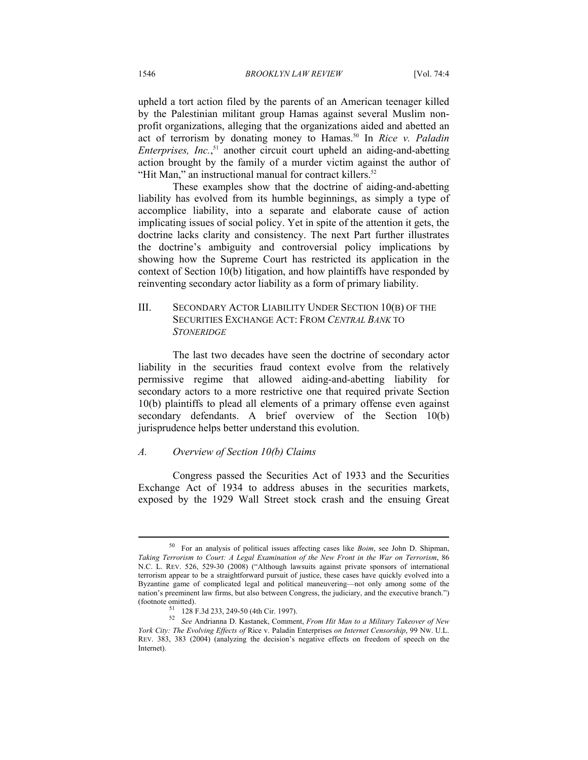upheld a tort action filed by the parents of an American teenager killed by the Palestinian militant group Hamas against several Muslim nonprofit organizations, alleging that the organizations aided and abetted an act of terrorism by donating money to Hamas.<sup>50</sup> In *Rice v. Paladin Enterprises, Inc.*, 51 another circuit court upheld an aiding-and-abetting action brought by the family of a murder victim against the author of "Hit Man," an instructional manual for contract killers.<sup>52</sup>

These examples show that the doctrine of aiding-and-abetting liability has evolved from its humble beginnings, as simply a type of accomplice liability, into a separate and elaborate cause of action implicating issues of social policy. Yet in spite of the attention it gets, the doctrine lacks clarity and consistency. The next Part further illustrates the doctrine's ambiguity and controversial policy implications by showing how the Supreme Court has restricted its application in the context of Section 10(b) litigation, and how plaintiffs have responded by reinventing secondary actor liability as a form of primary liability.

# III. SECONDARY ACTOR LIABILITY UNDER SECTION 10(B) OF THE SECURITIES EXCHANGE ACT: FROM *CENTRAL BANK* TO *STONERIDGE*

The last two decades have seen the doctrine of secondary actor liability in the securities fraud context evolve from the relatively permissive regime that allowed aiding-and-abetting liability for secondary actors to a more restrictive one that required private Section 10(b) plaintiffs to plead all elements of a primary offense even against secondary defendants. A brief overview of the Section 10(b) jurisprudence helps better understand this evolution.

#### *A. Overview of Section 10(b) Claims*

Congress passed the Securities Act of 1933 and the Securities Exchange Act of 1934 to address abuses in the securities markets, exposed by the 1929 Wall Street stock crash and the ensuing Great

<sup>50</sup> For an analysis of political issues affecting cases like *Boim*, see John D. Shipman, *Taking Terrorism to Court: A Legal Examination of the New Front in the War on Terrorism*, 86 N.C. L. REV. 526, 529-30 (2008) ("Although lawsuits against private sponsors of international terrorism appear to be a straightforward pursuit of justice, these cases have quickly evolved into a Byzantine game of complicated legal and political maneuvering—not only among some of the nation's preeminent law firms, but also between Congress, the judiciary, and the executive branch.") (footnote omitted). 51 128 F.3d 233, 249-50 (4th Cir. 1997).

<sup>52</sup> *See* Andrianna D. Kastanek, Comment, *From Hit Man to a Military Takeover of New York City: The Evolving Effects of* Rice v. Paladin Enterprises *on Internet Censorship*, 99 NW. U.L. REV. 383, 383 (2004) (analyzing the decision's negative effects on freedom of speech on the Internet).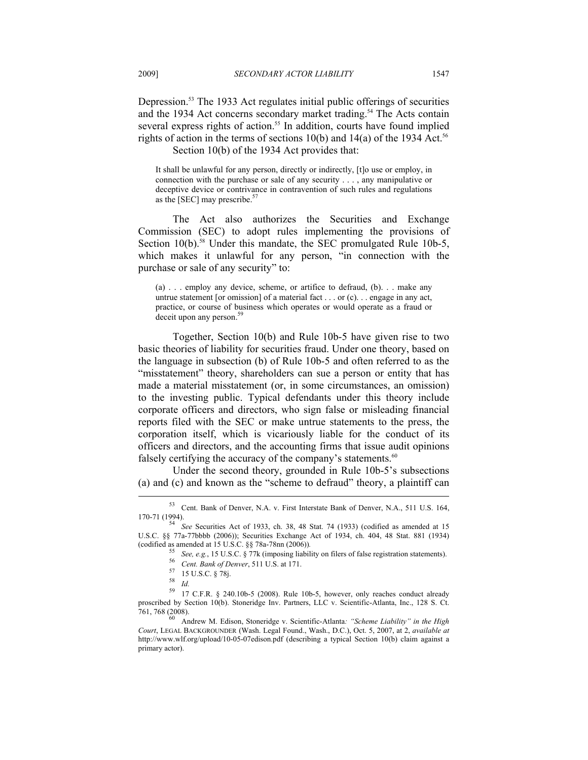Depression.<sup>53</sup> The 1933 Act regulates initial public offerings of securities and the 1934 Act concerns secondary market trading.<sup>54</sup> The Acts contain several express rights of action.<sup>55</sup> In addition, courts have found implied rights of action in the terms of sections  $10(b)$  and  $14(a)$  of the 1934 Act.<sup>56</sup> Section 10(b) of the 1934 Act provides that:

It shall be unlawful for any person, directly or indirectly, [t]o use or employ, in connection with the purchase or sale of any security . . . , any manipulative or deceptive device or contrivance in contravention of such rules and regulations as the [SEC] may prescribe.<sup>57</sup>

The Act also authorizes the Securities and Exchange Commission (SEC) to adopt rules implementing the provisions of Section 10(b).<sup>58</sup> Under this mandate, the SEC promulgated Rule 10b-5, which makes it unlawful for any person, "in connection with the purchase or sale of any security" to:

(a) . . . employ any device, scheme, or artifice to defraud, (b). . . make any untrue statement [or omission] of a material fact . . . or (c). . . engage in any act, practice, or course of business which operates or would operate as a fraud or deceit upon any person.<sup>59</sup>

Together, Section 10(b) and Rule 10b-5 have given rise to two basic theories of liability for securities fraud. Under one theory, based on the language in subsection (b) of Rule 10b-5 and often referred to as the "misstatement" theory, shareholders can sue a person or entity that has made a material misstatement (or, in some circumstances, an omission) to the investing public. Typical defendants under this theory include corporate officers and directors, who sign false or misleading financial reports filed with the SEC or make untrue statements to the press, the corporation itself, which is vicariously liable for the conduct of its officers and directors, and the accounting firms that issue audit opinions falsely certifying the accuracy of the company's statements.<sup>60</sup>

Under the second theory, grounded in Rule 10b-5's subsections (a) and (c) and known as the "scheme to defraud" theory, a plaintiff can  $\overline{\phantom{a}}$ 

<sup>53</sup> Cent. Bank of Denver, N.A. v. First Interstate Bank of Denver, N.A., 511 U.S. 164,

<sup>170-71 (1994). 54</sup> *See* Securities Act of 1933, ch. 38, 48 Stat. 74 (1933) (codified as amended at 15 U.S.C. §§ 77a-77bbbb (2006)); Securities Exchange Act of 1934, ch. 404, 48 Stat. 881 (1934) (codified as amended at 15 U.S.C. §§ 78a-78nn (2006)).<br>
55 See, e.g., 15 U.S.C. § 77k (imposing liability on filers of false registration statements).<br>
56 Cent. Bank of Denver, 511 U.S. at 171.<br>
57 15 U.S.C. § 78j.<br>
58 LA

<sup>58</sup> *Id.* 59 17 C.F.R. § 240.10b-5 (2008). Rule 10b-5, however, only reaches conduct already proscribed by Section 10(b). Stoneridge Inv. Partners, LLC v. Scientific-Atlanta, Inc., 128 S. Ct. 761, 768 (2008). 60 Andrew M. Edison, Stoneridge v. Scientific-Atlanta*: "Scheme Liability" in the High* 

*Court*, LEGAL BACKGROUNDER (Wash. Legal Found., Wash., D.C.), Oct. 5, 2007, at 2, *available at* http://www.wlf.org/upload/10-05-07edison.pdf (describing a typical Section 10(b) claim against a primary actor).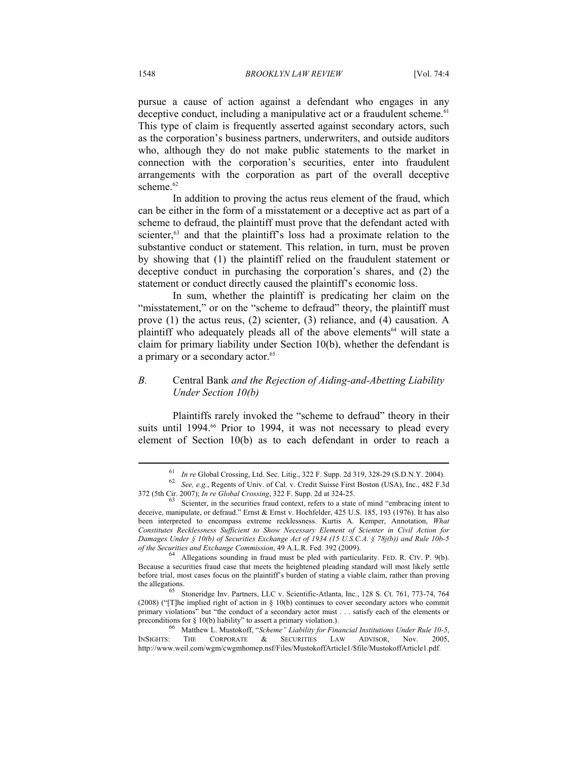pursue a cause of action against a defendant who engages in any deceptive conduct, including a manipulative act or a fraudulent scheme.<sup> $61$ </sup> This type of claim is frequently asserted against secondary actors, such as the corporation's business partners, underwriters, and outside auditors who, although they do not make public statements to the market in connection with the corporation's securities, enter into fraudulent arrangements with the corporation as part of the overall deceptive scheme.<sup>62</sup>

In addition to proving the actus reus element of the fraud, which can be either in the form of a misstatement or a deceptive act as part of a scheme to defraud, the plaintiff must prove that the defendant acted with scienter,<sup>63</sup> and that the plaintiff's loss had a proximate relation to the substantive conduct or statement. This relation, in turn, must be proven by showing that (1) the plaintiff relied on the fraudulent statement or deceptive conduct in purchasing the corporation's shares, and (2) the statement or conduct directly caused the plaintiff's economic loss.

In sum, whether the plaintiff is predicating her claim on the "misstatement," or on the "scheme to defraud" theory, the plaintiff must prove (1) the actus reus, (2) scienter, (3) reliance, and (4) causation. A plaintiff who adequately pleads all of the above elements<sup>64</sup> will state a claim for primary liability under Section 10(b), whether the defendant is a primary or a secondary actor.<sup>65</sup>

# *B.* Central Bank *and the Rejection of Aiding-and-Abetting Liability Under Section 10(b)*

Plaintiffs rarely invoked the "scheme to defraud" theory in their suits until 1994.<sup>66</sup> Prior to 1994, it was not necessary to plead every element of Section 10(b) as to each defendant in order to reach a

<sup>61</sup> *In re* Global Crossing, Ltd. Sec. Litig., 322 F. Supp. 2d 319, 328-29 (S.D.N.Y. 2004). 62 *See, e.g.*, Regents of Univ. of Cal. v. Credit Suisse First Boston (USA), Inc., 482 F.3d 372 (5th Cir. 2007); *In re Global Crossing*, 322 F. Supp. 2d at 324-25. 63 Scienter, in the securities fraud context, refers to a state of mind "embracing intent to

deceive, manipulate, or defraud." Ernst & Ernst v. Hochfelder, 425 U.S. 185, 193 (1976). It has also been interpreted to encompass extreme recklessness. Kurtis A. Kemper, Annotation, *What Constitutes Recklessness Sufficient to Show Necessary Element of Scienter in Civil Action for Damages Under § 10(b) of Securities Exchange Act of 1934 (15 U.S.C.A. § 78j(b)) and Rule 10b-5* 

Allegations sounding in fraud must be pled with particularity. FED. R. CIV. P. 9(b). Because a securities fraud case that meets the heightened pleading standard will most likely settle before trial, most cases focus on the plaintiff's burden of stating a viable claim, rather than proving the allegations.<br><sup>65</sup> Stoneridge Inv. Partners, LLC v. Scientific-Atlanta, Inc., 128 S. Ct. 761, 773-74, 764

<sup>(2008) (&</sup>quot;[T]he implied right of action in § 10(b) continues to cover secondary actors who commit primary violations" but "the conduct of a secondary actor must . . . satisfy each of the elements or preconditions for § 10(b) liability" to assert a primary violation.).<br><sup>66</sup> Matthew L. Mustokoff, "*Scheme" Liability for Financial Institutions Under Rule 10-5*,

INSIGHTS: THE CORPORATE & SECURITIES LAW ADVISOR Nov. 2005 http://www.weil.com/wgm/cwgmhomep.nsf/Files/MustokoffArticle1/\$file/MustokoffArticle1.pdf.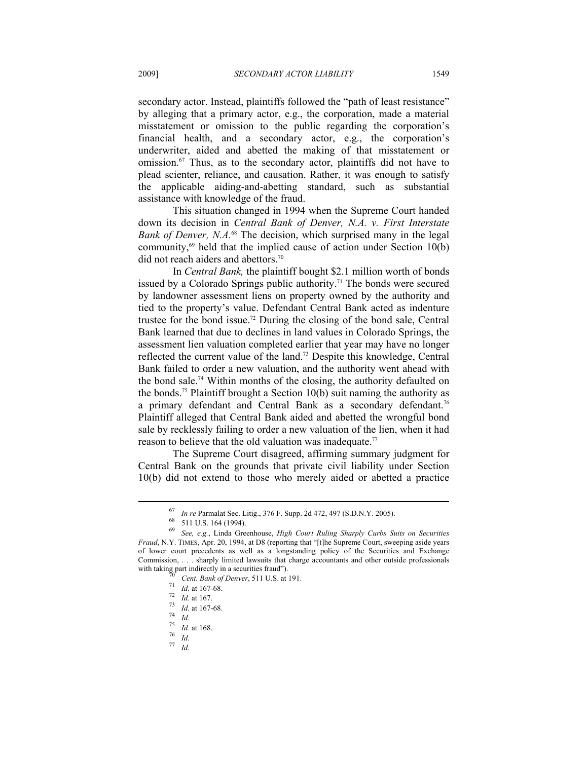secondary actor. Instead, plaintiffs followed the "path of least resistance" by alleging that a primary actor, e.g., the corporation, made a material misstatement or omission to the public regarding the corporation's financial health, and a secondary actor, e.g., the corporation's underwriter, aided and abetted the making of that misstatement or omission.67 Thus, as to the secondary actor, plaintiffs did not have to plead scienter, reliance, and causation. Rather, it was enough to satisfy the applicable aiding-and-abetting standard, such as substantial assistance with knowledge of the fraud.

This situation changed in 1994 when the Supreme Court handed down its decision in *Central Bank of Denver, N.A. v. First Interstate Bank of Denver, N.A.*68 The decision, which surprised many in the legal community, $69$  held that the implied cause of action under Section 10(b) did not reach aiders and abettors.<sup>70</sup>

In *Central Bank,* the plaintiff bought \$2.1 million worth of bonds issued by a Colorado Springs public authority.<sup>71</sup> The bonds were secured by landowner assessment liens on property owned by the authority and tied to the property's value. Defendant Central Bank acted as indenture trustee for the bond issue.72 During the closing of the bond sale, Central Bank learned that due to declines in land values in Colorado Springs, the assessment lien valuation completed earlier that year may have no longer reflected the current value of the land.73 Despite this knowledge, Central Bank failed to order a new valuation, and the authority went ahead with the bond sale.<sup>74</sup> Within months of the closing, the authority defaulted on the bonds.<sup>75</sup> Plaintiff brought a Section  $10(b)$  suit naming the authority as a primary defendant and Central Bank as a secondary defendant.<sup>76</sup> Plaintiff alleged that Central Bank aided and abetted the wrongful bond sale by recklessly failing to order a new valuation of the lien, when it had reason to believe that the old valuation was inadequate.<sup>77</sup>

The Supreme Court disagreed, affirming summary judgment for Central Bank on the grounds that private civil liability under Section 10(b) did not extend to those who merely aided or abetted a practice

<sup>67</sup> *In re* Parmalat Sec. Litig., 376 F. Supp. 2d 472, 497 (S.D.N.Y. 2005). 68 511 U.S. 164 (1994).

<sup>69</sup> *See, e.g.*, Linda Greenhouse, *High Court Ruling Sharply Curbs Suits on Securities Fraud*, N.Y. TIMES, Apr. 20, 1994, at D8 (reporting that "[t]he Supreme Court, sweeping aside years of lower court precedents as well as a longstanding policy of the Securities and Exchange Commission, . . . sharply limited lawsuits that charge accountants and other outside professionals with taking part indirectly in a securities fraud").<br>  $\frac{70}{70}$  Cent. Bank of Denver, 511 U.S. at 191.<br>  $\frac{71}{71}$  Id. at 167-68.<br>  $\frac{72}{14}$  Id. at 167.<br>  $\frac{73}{14}$  Id. at 167-68.<br>  $\frac{74}{14}$  Id.<br>  $\frac{75}{14}$  Id. a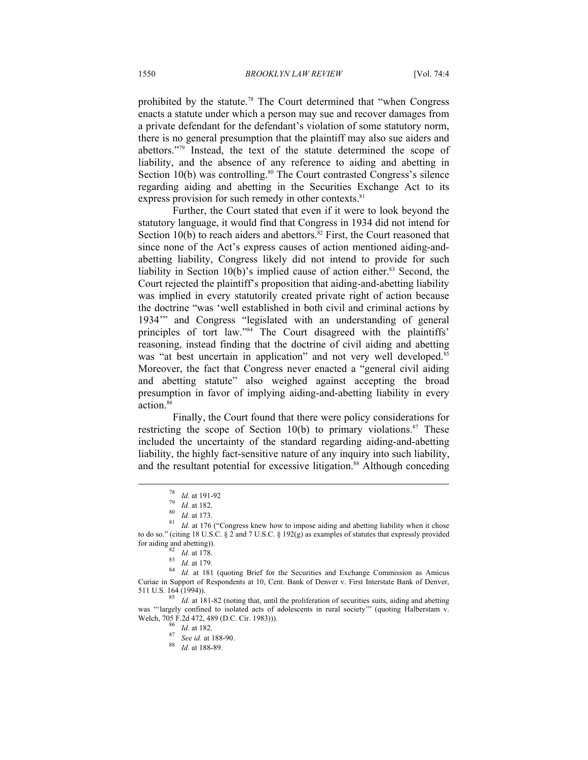prohibited by the statute.78 The Court determined that "when Congress enacts a statute under which a person may sue and recover damages from a private defendant for the defendant's violation of some statutory norm, there is no general presumption that the plaintiff may also sue aiders and abettors."79 Instead, the text of the statute determined the scope of liability, and the absence of any reference to aiding and abetting in Section 10(b) was controlling.<sup>80</sup> The Court contrasted Congress's silence regarding aiding and abetting in the Securities Exchange Act to its express provision for such remedy in other contexts.<sup>81</sup>

Further, the Court stated that even if it were to look beyond the statutory language, it would find that Congress in 1934 did not intend for Section 10(b) to reach aiders and abettors. $82$  First, the Court reasoned that since none of the Act's express causes of action mentioned aiding-andabetting liability, Congress likely did not intend to provide for such liability in Section  $10(b)$ 's implied cause of action either.<sup>83</sup> Second, the Court rejected the plaintiff's proposition that aiding-and-abetting liability was implied in every statutorily created private right of action because the doctrine "was 'well established in both civil and criminal actions by 1934'" and Congress "legislated with an understanding of general principles of tort law."84 The Court disagreed with the plaintiffs' reasoning, instead finding that the doctrine of civil aiding and abetting was "at best uncertain in application" and not very well developed.<sup>85</sup> Moreover, the fact that Congress never enacted a "general civil aiding and abetting statute" also weighed against accepting the broad presumption in favor of implying aiding-and-abetting liability in every action.<sup>86</sup>

Finally, the Court found that there were policy considerations for restricting the scope of Section 10(b) to primary violations. $87$  These included the uncertainty of the standard regarding aiding-and-abetting liability, the highly fact-sensitive nature of any inquiry into such liability, and the resultant potential for excessive litigation.<sup>88</sup> Although conceding

<sup>&</sup>lt;sup>78</sup> *Id.* at 191-92<br><sup>79</sup> *Id.* at 182.<br><sup>80</sup> *Id.* at 173.<br><sup>81</sup> *Id.* at 176 ("Congress knew how to impose aiding and abetting liability when it chose to do so." (citing 18 U.S.C. § 2 and 7 U.S.C. § 192(g) as examples of statutes that expressly provided for aiding and abetting)).<br>  $V/dt$  at 178.

*Ra Id.* at 179. *Id.* at 179. 83 *Id.* at 181 (quoting Brief for the Securities and Exchange Commission as Amicus 84 *Id.* at 181 (quoting Brief for the Securities and Exchange Commission as Amicus Curiae in Support of Respondents at 10, Cent. Bank of Denver v. First Interstate Bank of Denver, 511 U.S. 164 (1994)).

 $\frac{85}{1}$  *Id.* at 181-82 (noting that, until the proliferation of securities suits, aiding and abetting was "'largely confined to isolated acts of adolescents in rural society'" (quoting Halberstam v. Welch, 705 F.2d 472, 489 (D.C. Cir. 1983))). 86 *Id.* at 182. 87 *See id.* at 188-90. 88 *Id.* at 188-89.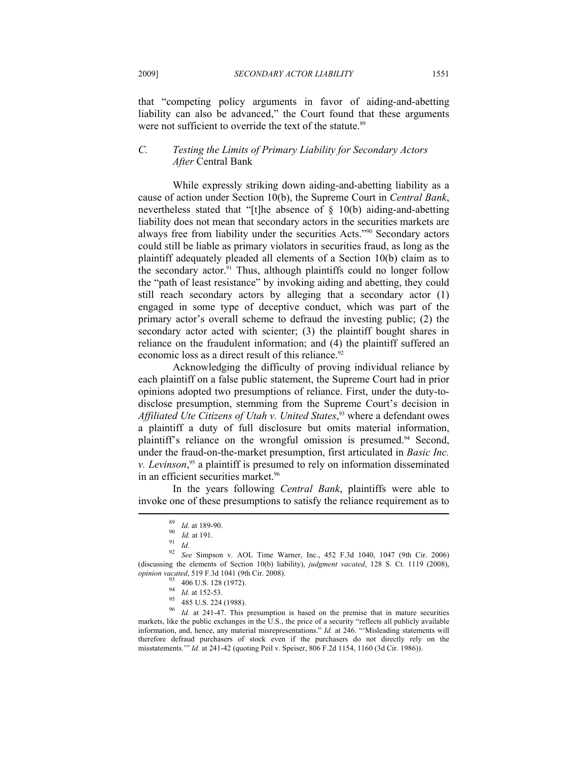that "competing policy arguments in favor of aiding-and-abetting liability can also be advanced," the Court found that these arguments were not sufficient to override the text of the statute.<sup>89</sup>

### *C. Testing the Limits of Primary Liability for Secondary Actors After* Central Bank

While expressly striking down aiding-and-abetting liability as a cause of action under Section 10(b), the Supreme Court in *Central Bank*, nevertheless stated that "[t]he absence of  $\S$  10(b) aiding-and-abetting liability does not mean that secondary actors in the securities markets are always free from liability under the securities Acts."90 Secondary actors could still be liable as primary violators in securities fraud, as long as the plaintiff adequately pleaded all elements of a Section 10(b) claim as to the secondary actor.<sup>91</sup> Thus, although plaintiffs could no longer follow the "path of least resistance" by invoking aiding and abetting, they could still reach secondary actors by alleging that a secondary actor (1) engaged in some type of deceptive conduct, which was part of the primary actor's overall scheme to defraud the investing public; (2) the secondary actor acted with scienter; (3) the plaintiff bought shares in reliance on the fraudulent information; and (4) the plaintiff suffered an economic loss as a direct result of this reliance.<sup>92</sup>

Acknowledging the difficulty of proving individual reliance by each plaintiff on a false public statement, the Supreme Court had in prior opinions adopted two presumptions of reliance. First, under the duty-todisclose presumption, stemming from the Supreme Court's decision in *Affiliated Ute Citizens of Utah v. United States*, 93 where a defendant owes a plaintiff a duty of full disclosure but omits material information, plaintiff's reliance on the wrongful omission is presumed.<sup>94</sup> Second, under the fraud-on-the-market presumption, first articulated in *Basic Inc. v. Levinson*, 95 a plaintiff is presumed to rely on information disseminated in an efficient securities market.<sup>96</sup>

In the years following *Central Bank*, plaintiffs were able to invoke one of these presumptions to satisfy the reliance requirement as to Ï

<sup>89</sup> *Id.* at 189-90.<br>
90 *Id.* at 191.<br>
92 *Id.* 92 *See* Simpson v. AOL Time Warner, Inc., 452 F.3d 1040, 1047 (9th Cir. 2006) (discussing the elements of Section 10(b) liability), *judgment vacated*, 128 S. Ct. 1119 (2008), *opinion vacated*, 519 F.3d 1041 (9th Cir. 2008).<br><sup>93</sup> 406 U.S. 128 (1972).<br><sup>94</sup> *Id.* at 152-53.

<sup>&</sup>lt;sup>95</sup> 485 U.S. 224 (1988).

<sup>&</sup>lt;sup>96</sup> *Id.* at 241-47. This presumption is based on the premise that in mature securities markets, like the public exchanges in the U.S., the price of a security "reflects all publicly available information, and, hence, any material misrepresentations." *Id.* at 246. "'Misleading statements will therefore defraud purchasers of stock even if the purchasers do not directly rely on the misstatements.'" *Id.* at 241-42 (quoting Peil v. Speiser, 806 F.2d 1154, 1160 (3d Cir. 1986)).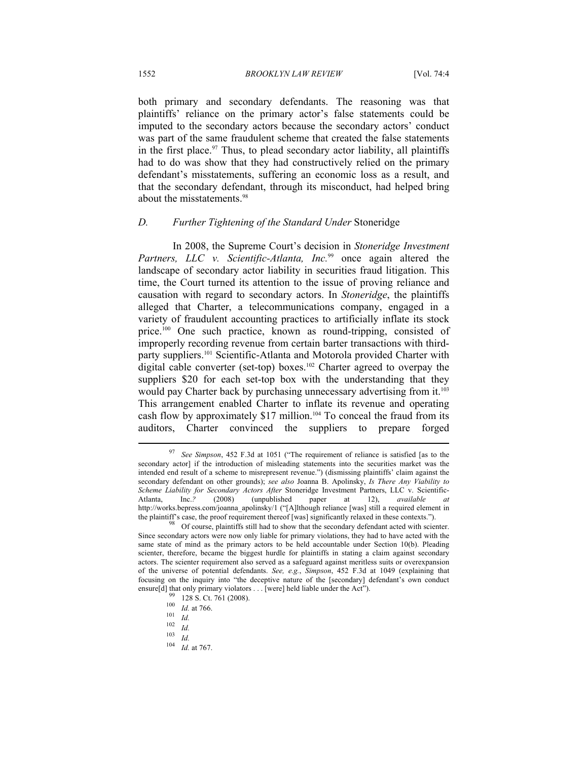both primary and secondary defendants. The reasoning was that plaintiffs' reliance on the primary actor's false statements could be imputed to the secondary actors because the secondary actors' conduct was part of the same fraudulent scheme that created the false statements in the first place.<sup>97</sup> Thus, to plead secondary actor liability, all plaintiffs had to do was show that they had constructively relied on the primary defendant's misstatements, suffering an economic loss as a result, and that the secondary defendant, through its misconduct, had helped bring about the misstatements.98

## *D. Further Tightening of the Standard Under* Stoneridge

In 2008, the Supreme Court's decision in *Stoneridge Investment*  Partners, LLC v. Scientific-Atlanta, Inc.<sup>99</sup> once again altered the landscape of secondary actor liability in securities fraud litigation. This time, the Court turned its attention to the issue of proving reliance and causation with regard to secondary actors. In *Stoneridge*, the plaintiffs alleged that Charter, a telecommunications company, engaged in a variety of fraudulent accounting practices to artificially inflate its stock price.100 One such practice, known as round-tripping, consisted of improperly recording revenue from certain barter transactions with thirdparty suppliers.<sup>101</sup> Scientific-Atlanta and Motorola provided Charter with digital cable converter (set-top) boxes.<sup>102</sup> Charter agreed to overpay the suppliers \$20 for each set-top box with the understanding that they would pay Charter back by purchasing unnecessary advertising from it.<sup>103</sup> This arrangement enabled Charter to inflate its revenue and operating cash flow by approximately \$17 million.<sup>104</sup> To conceal the fraud from its auditors, Charter convinced the suppliers to prepare forged

<sup>97</sup> *See Simpson*, 452 F.3d at 1051 ("The requirement of reliance is satisfied [as to the secondary actor] if the introduction of misleading statements into the securities market was the intended end result of a scheme to misrepresent revenue.") (dismissing plaintiffs' claim against the secondary defendant on other grounds); *see also* Joanna B. Apolinsky, *Is There Any Viability to Scheme Liability for Secondary Actors After* Stoneridge Investment Partners, LLC v. Scientific-Atlanta, Inc.*?* (2008) (unpublished paper at 12), *available at* http://works.bepress.com/joanna\_apolinsky/1 ("[A]lthough reliance [was] still a required element in the plaintiff's case, the proof requirement thereof [was] significantly relaxed in these contexts."). 98 Of course, plaintiffs still had to show that the secondary defendant acted with scienter.

Since secondary actors were now only liable for primary violations, they had to have acted with the same state of mind as the primary actors to be held accountable under Section 10(b). Pleading scienter, therefore, became the biggest hurdle for plaintiffs in stating a claim against secondary actors. The scienter requirement also served as a safeguard against meritless suits or overexpansion of the universe of potential defendants. *See, e.g.*, *Simpson*, 452 F.3d at 1049 (explaining that focusing on the inquiry into "the deceptive nature of the [secondary] defendant's own conduct ensure[d] that only primary violators . . . [were] held liable under the Act").

ensure 128 S. Ct. 761 (2008).<br>
<sup>100</sup> *Id.* at 766.<br>
<sup>102</sup> *Id.*<br>
<sup>103</sup> *Id. Id. Id. Id. Id.* at 767.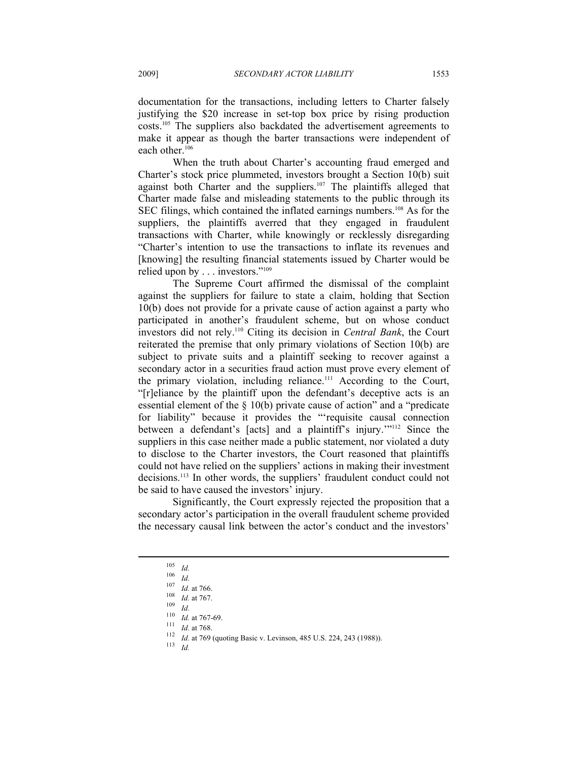documentation for the transactions, including letters to Charter falsely justifying the \$20 increase in set-top box price by rising production costs.105 The suppliers also backdated the advertisement agreements to make it appear as though the barter transactions were independent of each other.<sup>106</sup>

When the truth about Charter's accounting fraud emerged and Charter's stock price plummeted, investors brought a Section 10(b) suit against both Charter and the suppliers.<sup>107</sup> The plaintiffs alleged that Charter made false and misleading statements to the public through its SEC filings, which contained the inflated earnings numbers.<sup>108</sup> As for the suppliers, the plaintiffs averred that they engaged in fraudulent transactions with Charter, while knowingly or recklessly disregarding "Charter's intention to use the transactions to inflate its revenues and [knowing] the resulting financial statements issued by Charter would be relied upon by . . . investors."109

The Supreme Court affirmed the dismissal of the complaint against the suppliers for failure to state a claim, holding that Section 10(b) does not provide for a private cause of action against a party who participated in another's fraudulent scheme, but on whose conduct investors did not rely.110 Citing its decision in *Central Bank*, the Court reiterated the premise that only primary violations of Section 10(b) are subject to private suits and a plaintiff seeking to recover against a secondary actor in a securities fraud action must prove every element of the primary violation, including reliance.<sup>111</sup> According to the Court, "[r]eliance by the plaintiff upon the defendant's deceptive acts is an essential element of the § 10(b) private cause of action" and a "predicate for liability" because it provides the "'requisite causal connection between a defendant's [acts] and a plaintiff's injury.'"112 Since the suppliers in this case neither made a public statement, nor violated a duty to disclose to the Charter investors, the Court reasoned that plaintiffs could not have relied on the suppliers' actions in making their investment decisions.113 In other words, the suppliers' fraudulent conduct could not be said to have caused the investors' injury.

Significantly, the Court expressly rejected the proposition that a secondary actor's participation in the overall fraudulent scheme provided the necessary causal link between the actor's conduct and the investors'

<sup>&</sup>lt;sup>105</sup> *Id.*<br>
<sup>107</sup> *Id.* at 766.<br>
<sup>107</sup> *Id.* at 767.<br>
<sup>109</sup> *Id.* at 767.<br>
<sup>110</sup> *Id.* at 767-69.<br>
<sup>111</sup> *Id.* at 768.<br>
<sup>112</sup> *Id.* at 768.<br>
<sup>112</sup> *Id.* at 769 (quoting Basic v. Levinson, 485 U.S. 224, 243 (1988)).<br>
<sup>113</sup>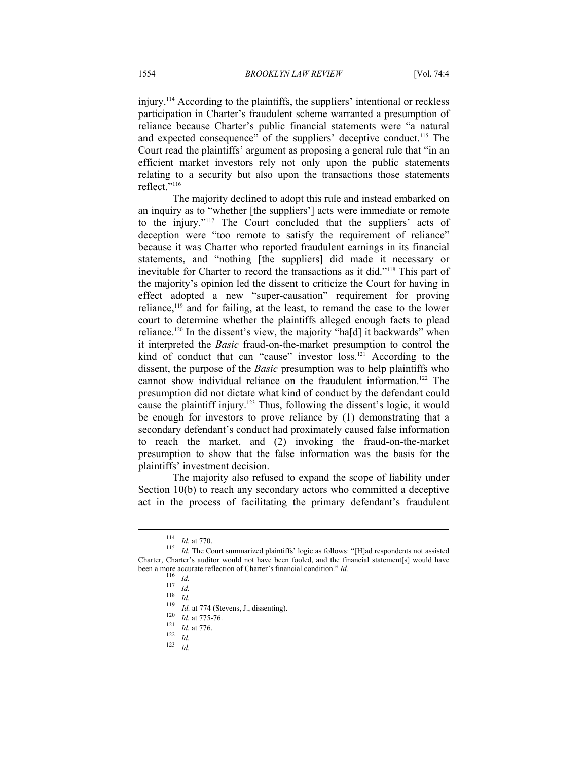injury.114 According to the plaintiffs, the suppliers' intentional or reckless participation in Charter's fraudulent scheme warranted a presumption of reliance because Charter's public financial statements were "a natural and expected consequence" of the suppliers' deceptive conduct.<sup>115</sup> The Court read the plaintiffs' argument as proposing a general rule that "in an efficient market investors rely not only upon the public statements relating to a security but also upon the transactions those statements reflect."116

The majority declined to adopt this rule and instead embarked on an inquiry as to "whether [the suppliers'] acts were immediate or remote to the injury."117 The Court concluded that the suppliers' acts of deception were "too remote to satisfy the requirement of reliance" because it was Charter who reported fraudulent earnings in its financial statements, and "nothing [the suppliers] did made it necessary or inevitable for Charter to record the transactions as it did."118 This part of the majority's opinion led the dissent to criticize the Court for having in effect adopted a new "super-causation" requirement for proving reliance,119 and for failing, at the least, to remand the case to the lower court to determine whether the plaintiffs alleged enough facts to plead reliance.<sup>120</sup> In the dissent's view, the majority "ha[d] it backwards" when it interpreted the *Basic* fraud-on-the-market presumption to control the kind of conduct that can "cause" investor loss.<sup>121</sup> According to the dissent, the purpose of the *Basic* presumption was to help plaintiffs who cannot show individual reliance on the fraudulent information.<sup>122</sup> The presumption did not dictate what kind of conduct by the defendant could cause the plaintiff injury.123 Thus, following the dissent's logic, it would be enough for investors to prove reliance by (1) demonstrating that a secondary defendant's conduct had proximately caused false information to reach the market, and (2) invoking the fraud-on-the-market presumption to show that the false information was the basis for the plaintiffs' investment decision.

The majority also refused to expand the scope of liability under Section 10(b) to reach any secondary actors who committed a deceptive act in the process of facilitating the primary defendant's fraudulent

<sup>114</sup> *Id.* at 770. <sup>115</sup> *Id.* The Court summarized plaintiffs' logic as follows: "[H]ad respondents not assisted Charter, Charter's auditor would not have been fooled, and the financial statement[s] would have been a more accurate reflection of Charter's financial condition." Id.<br>
116 Id.<br>
117 Id.<br>
118 Id.<br>
118 Id.<br>
119 Id. at 774 (Stevens, J., dissenting).<br>
120 Id. at 775-76.<br>
121 Id. at 776.<br>
122 Id. at 776.<br>
122 Id.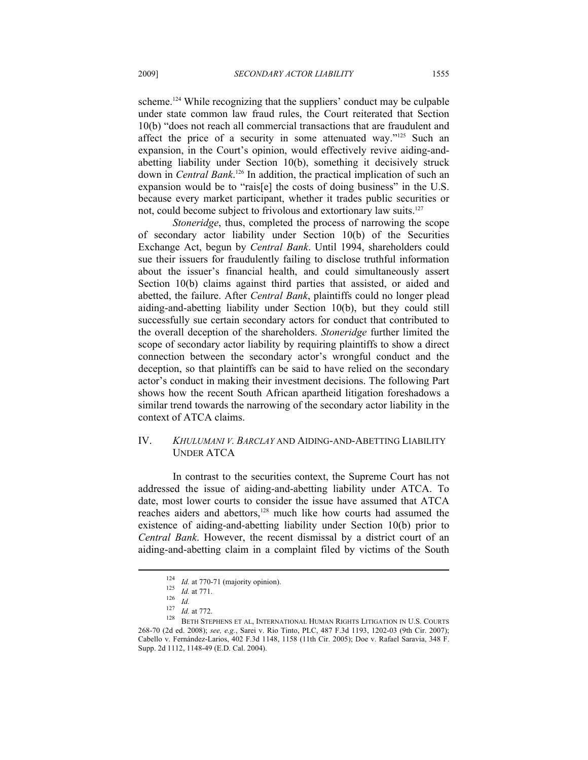scheme.<sup>124</sup> While recognizing that the suppliers' conduct may be culpable under state common law fraud rules, the Court reiterated that Section 10(b) "does not reach all commercial transactions that are fraudulent and affect the price of a security in some attenuated way."125 Such an expansion, in the Court's opinion, would effectively revive aiding-andabetting liability under Section 10(b), something it decisively struck down in *Central Bank*. 126 In addition, the practical implication of such an expansion would be to "rais[e] the costs of doing business" in the U.S. because every market participant, whether it trades public securities or not, could become subject to frivolous and extortionary law suits.127

*Stoneridge*, thus, completed the process of narrowing the scope of secondary actor liability under Section 10(b) of the Securities Exchange Act, begun by *Central Bank*. Until 1994, shareholders could sue their issuers for fraudulently failing to disclose truthful information about the issuer's financial health, and could simultaneously assert Section 10(b) claims against third parties that assisted, or aided and abetted, the failure. After *Central Bank*, plaintiffs could no longer plead aiding-and-abetting liability under Section 10(b), but they could still successfully sue certain secondary actors for conduct that contributed to the overall deception of the shareholders. *Stoneridge* further limited the scope of secondary actor liability by requiring plaintiffs to show a direct connection between the secondary actor's wrongful conduct and the deception, so that plaintiffs can be said to have relied on the secondary actor's conduct in making their investment decisions. The following Part shows how the recent South African apartheid litigation foreshadows a similar trend towards the narrowing of the secondary actor liability in the context of ATCA claims.

# IV. *KHULUMANI V. BARCLAY* AND AIDING-AND-ABETTING LIABILITY UNDER ATCA

In contrast to the securities context, the Supreme Court has not addressed the issue of aiding-and-abetting liability under ATCA. To date, most lower courts to consider the issue have assumed that ATCA reaches aiders and abettors,<sup>128</sup> much like how courts had assumed the existence of aiding-and-abetting liability under Section 10(b) prior to *Central Bank*. However, the recent dismissal by a district court of an aiding-and-abetting claim in a complaint filed by victims of the South

<sup>124</sup> *Id.* at 770-71 (majority opinion).<br>
125 *Id.* at 771.<br>
126 *Id.* 127 *Id.* at 772.<br>
128 BETH STEPHENS ET AL, INTERNATIONAL HUMAN RIGHTS LITIGATION IN U.S. COURTS 268-70 (2d ed. 2008); *see, e.g.*, Sarei v. Rio Tinto, PLC, 487 F.3d 1193, 1202-03 (9th Cir. 2007); Cabello v. Fernández-Larios, 402 F.3d 1148, 1158 (11th Cir. 2005); Doe v. Rafael Saravia, 348 F. Supp. 2d 1112, 1148-49 (E.D. Cal. 2004).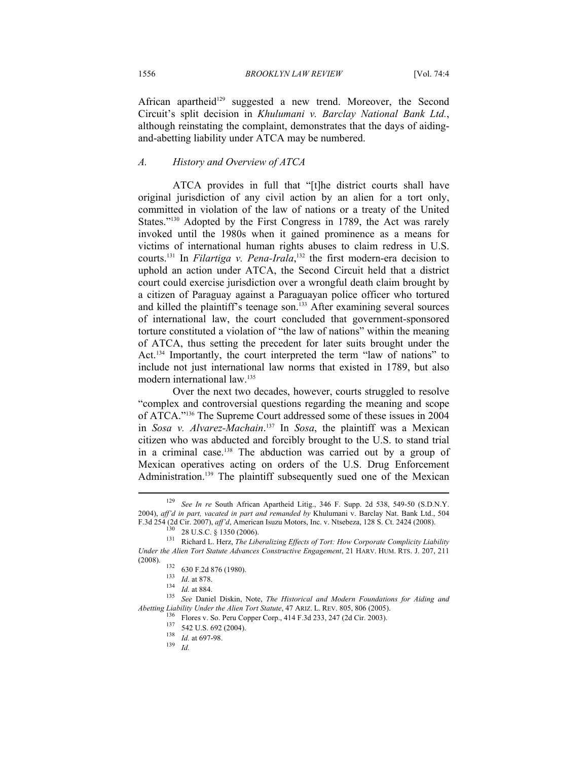African apartheid<sup>129</sup> suggested a new trend. Moreover, the Second Circuit's split decision in *Khulumani v. Barclay National Bank Ltd.*, although reinstating the complaint, demonstrates that the days of aidingand-abetting liability under ATCA may be numbered.

#### *A. History and Overview of ATCA*

ATCA provides in full that "[t]he district courts shall have original jurisdiction of any civil action by an alien for a tort only, committed in violation of the law of nations or a treaty of the United States."<sup>130</sup> Adopted by the First Congress in 1789, the Act was rarely invoked until the 1980s when it gained prominence as a means for victims of international human rights abuses to claim redress in U.S. courts.131 In *Filartiga v. Pena-Irala*, 132 the first modern-era decision to uphold an action under ATCA, the Second Circuit held that a district court could exercise jurisdiction over a wrongful death claim brought by a citizen of Paraguay against a Paraguayan police officer who tortured and killed the plaintiff's teenage son.<sup>133</sup> After examining several sources of international law, the court concluded that government-sponsored torture constituted a violation of "the law of nations" within the meaning of ATCA, thus setting the precedent for later suits brought under the Act.<sup>134</sup> Importantly, the court interpreted the term "law of nations" to include not just international law norms that existed in 1789, but also modern international law.135

Over the next two decades, however, courts struggled to resolve "complex and controversial questions regarding the meaning and scope of ATCA."136 The Supreme Court addressed some of these issues in 2004 in *Sosa v. Alvarez-Machain*. 137 In *Sosa*, the plaintiff was a Mexican citizen who was abducted and forcibly brought to the U.S. to stand trial in a criminal case.138 The abduction was carried out by a group of Mexican operatives acting on orders of the U.S. Drug Enforcement Administration.<sup>139</sup> The plaintiff subsequently sued one of the Mexican

<sup>129</sup> *See In re* South African Apartheid Litig., 346 F. Supp. 2d 538, 549-50 (S.D.N.Y. 2004), *aff'd in part, vacated in part and remanded by* Khulumani v. Barclay Nat. Bank Ltd., 504 F.3d 254 (2d Cir. 2007), *aff'd*, American Isuzu Motors, Inc. v. Ntsebeza, 128 S. Ct. 2424 (2008).<br><sup>130</sup> 28 U.S.C. § 1350 (2006).<br><sup>131</sup> Richard L. Herz, *The Liberalizing Effects of Tort: How Corporate Complicity Liability* 

*Under the Alien Tort Statute Advances Constructive Engagement*, 21 HARV. HUM. RTS. J. 207, 211

<sup>(2008). 132 630</sup> F.2d 876 (1980). 133 *Id.* at 878. 134 *Id.* at 884. 135 *See* Daniel Diskin, Note, *The Historical and Modern Foundations for Aiding and*  Abetting Liability Under the Alien Tort Statute, 47 ARIZ. L. REV. 805, 806 (2005).<br>
<sup>136</sup> Flores v. So. Peru Copper Corp., 414 F.3d 233, 247 (2d Cir. 2003).<br>
<sup>137</sup> 542 U.S. 692 (2004).<br>
<sup>138</sup> *Id.* at 697-98.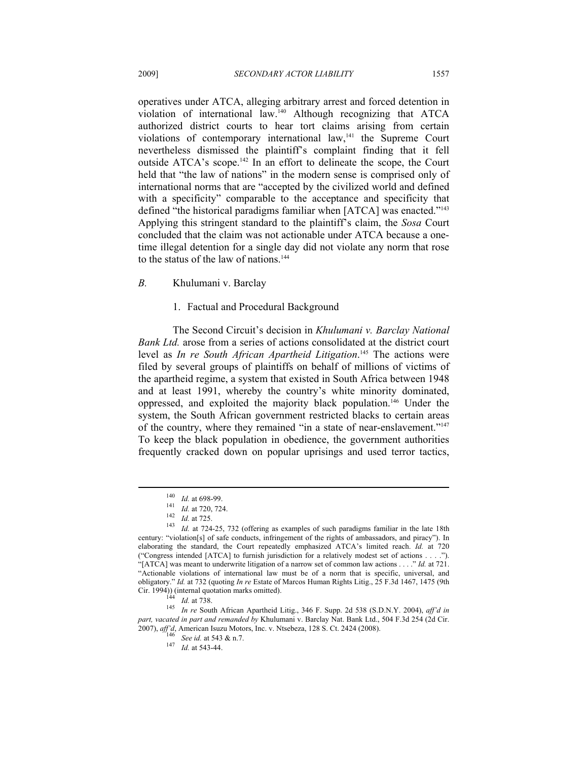operatives under ATCA, alleging arbitrary arrest and forced detention in violation of international law.140 Although recognizing that ATCA authorized district courts to hear tort claims arising from certain violations of contemporary international law,<sup>141</sup> the Supreme Court nevertheless dismissed the plaintiff's complaint finding that it fell outside ATCA's scope.142 In an effort to delineate the scope, the Court held that "the law of nations" in the modern sense is comprised only of international norms that are "accepted by the civilized world and defined with a specificity" comparable to the acceptance and specificity that defined "the historical paradigms familiar when [ATCA] was enacted."143 Applying this stringent standard to the plaintiff's claim, the *Sosa* Court concluded that the claim was not actionable under ATCA because a onetime illegal detention for a single day did not violate any norm that rose to the status of the law of nations.<sup>144</sup>

*B.* Khulumani v. Barclay

#### 1. Factual and Procedural Background

The Second Circuit's decision in *Khulumani v. Barclay National Bank Ltd.* arose from a series of actions consolidated at the district court level as *In re South African Apartheid Litigation*. 145 The actions were filed by several groups of plaintiffs on behalf of millions of victims of the apartheid regime, a system that existed in South Africa between 1948 and at least 1991, whereby the country's white minority dominated, oppressed, and exploited the majority black population.146 Under the system, the South African government restricted blacks to certain areas of the country, where they remained "in a state of near-enslavement."147 To keep the black population in obedience, the government authorities frequently cracked down on popular uprisings and used terror tactics,

<sup>&</sup>lt;sup>140</sup> *Id.* at 698-99.<br>
<sup>141</sup> *Id.* at 720, 724.<br>
<sup>142</sup> *Id.* at 725.<br>
<sup>143</sup> *Id.* at 724-25, 732 (offering as examples of such paradigms familiar in the late 18th century: "violation[s] of safe conducts, infringement of the rights of ambassadors, and piracy"). In elaborating the standard, the Court repeatedly emphasized ATCA's limited reach. *Id.* at 720 ("Congress intended [ATCA] to furnish jurisdiction for a relatively modest set of actions . . . ."). "[ATCA] was meant to underwrite litigation of a narrow set of common law actions . . . ." *Id.* at 721. "Actionable violations of international law must be of a norm that is specific, universal, and obligatory." *Id.* at 732 (quoting *In re* Estate of Marcos Human Rights Litig., 25 F.3d 1467, 1475 (9th

<sup>&</sup>lt;sup>144</sup> *Id.* at 738. *In re* South African Apartheid Litig., 346 F. Supp. 2d 538 (S.D.N.Y. 2004), *aff'd in part, vacated in part and remanded by* Khulumani v. Barclay Nat. Bank Ltd., 504 F.3d 254 (2d Cir. 2007), *aff'd*, American Isuzu Motors, Inc. v. Ntsebeza, 128 S. Ct. 2424 (2008).

*a*<sup>146</sup> *See id.* at 543 & n.7.<br><sup>147</sup> *Id.* at 543-44.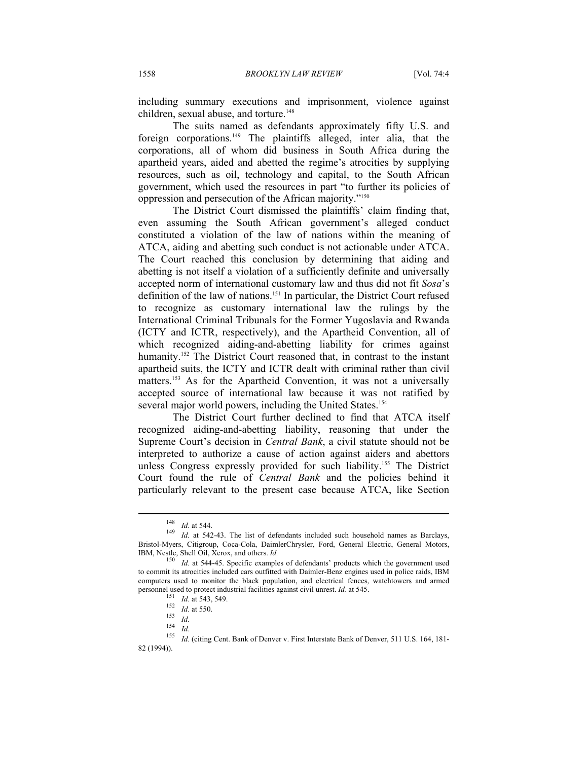including summary executions and imprisonment, violence against children, sexual abuse, and torture.<sup>148</sup>

The suits named as defendants approximately fifty U.S. and foreign corporations.149 The plaintiffs alleged, inter alia, that the corporations, all of whom did business in South Africa during the apartheid years, aided and abetted the regime's atrocities by supplying resources, such as oil, technology and capital, to the South African government, which used the resources in part "to further its policies of oppression and persecution of the African majority."150

The District Court dismissed the plaintiffs' claim finding that, even assuming the South African government's alleged conduct constituted a violation of the law of nations within the meaning of ATCA, aiding and abetting such conduct is not actionable under ATCA. The Court reached this conclusion by determining that aiding and abetting is not itself a violation of a sufficiently definite and universally accepted norm of international customary law and thus did not fit *Sosa*'s definition of the law of nations.151 In particular, the District Court refused to recognize as customary international law the rulings by the International Criminal Tribunals for the Former Yugoslavia and Rwanda (ICTY and ICTR, respectively), and the Apartheid Convention, all of which recognized aiding-and-abetting liability for crimes against humanity.<sup>152</sup> The District Court reasoned that, in contrast to the instant apartheid suits, the ICTY and ICTR dealt with criminal rather than civil matters.<sup>153</sup> As for the Apartheid Convention, it was not a universally accepted source of international law because it was not ratified by several major world powers, including the United States.<sup>154</sup>

The District Court further declined to find that ATCA itself recognized aiding-and-abetting liability, reasoning that under the Supreme Court's decision in *Central Bank*, a civil statute should not be interpreted to authorize a cause of action against aiders and abettors unless Congress expressly provided for such liability.155 The District Court found the rule of *Central Bank* and the policies behind it particularly relevant to the present case because ATCA, like Section

<sup>148</sup> *Id.* at 544. 149 *Id.* at 542-43. The list of defendants included such household names as Barclays, Bristol-Myers, Citigroup, Coca-Cola, DaimlerChrysler, Ford, General Electric, General Motors, IBM, Nestle, Shell Oil, Xerox, and others. *Id.*<br><sup>150</sup> *Id.* at 544-45. Specific examples of defendants' products which the government used

to commit its atrocities included cars outfitted with Daimler-Benz engines used in police raids, IBM computers used to monitor the black population, and electrical fences, watchtowers and armed personnel used to protect industrial facilities against civil unrest. *Id.* at 545.<br><sup>151</sup> *Id.* at 543, 549.<br><sup>152</sup> *Id.* at 550.<br><sup>153</sup> *Id.*<br><sup>153</sup> *Id.*<br><sup>154</sup> *Id.*<br><sup>155</sup> *Id.* (citing Cent. Bank of Denver v. First Interst

<sup>82 (1994)).</sup>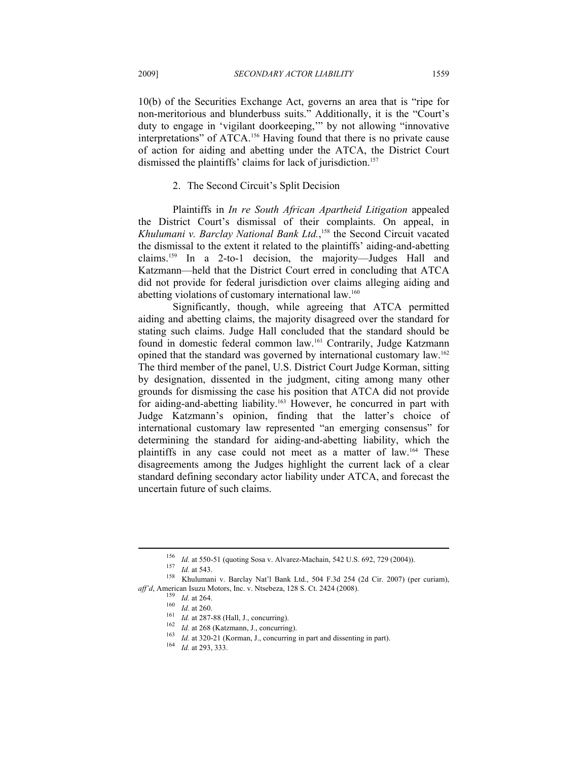10(b) of the Securities Exchange Act, governs an area that is "ripe for non-meritorious and blunderbuss suits." Additionally, it is the "Court's duty to engage in 'vigilant doorkeeping,'" by not allowing "innovative interpretations" of ATCA.156 Having found that there is no private cause of action for aiding and abetting under the ATCA, the District Court dismissed the plaintiffs' claims for lack of jurisdiction.<sup>157</sup>

#### 2. The Second Circuit's Split Decision

Plaintiffs in *In re South African Apartheid Litigation* appealed the District Court's dismissal of their complaints. On appeal, in *Khulumani v. Barclay National Bank Ltd.*, 158 the Second Circuit vacated the dismissal to the extent it related to the plaintiffs' aiding-and-abetting claims.159 In a 2-to-1 decision, the majority—Judges Hall and Katzmann—held that the District Court erred in concluding that ATCA did not provide for federal jurisdiction over claims alleging aiding and abetting violations of customary international law.<sup>160</sup>

Significantly, though, while agreeing that ATCA permitted aiding and abetting claims, the majority disagreed over the standard for stating such claims. Judge Hall concluded that the standard should be found in domestic federal common law.161 Contrarily, Judge Katzmann opined that the standard was governed by international customary law.162 The third member of the panel, U.S. District Court Judge Korman, sitting by designation, dissented in the judgment, citing among many other grounds for dismissing the case his position that ATCA did not provide for aiding-and-abetting liability.163 However, he concurred in part with Judge Katzmann's opinion, finding that the latter's choice of international customary law represented "an emerging consensus" for determining the standard for aiding-and-abetting liability, which the plaintiffs in any case could not meet as a matter of law.164 These disagreements among the Judges highlight the current lack of a clear standard defining secondary actor liability under ATCA, and forecast the uncertain future of such claims.

<sup>&</sup>lt;sup>156</sup> *Id.* at 550-51 (quoting Sosa v. Alvarez-Machain, 542 U.S. 692, 729 (2004)).<br><sup>157</sup> *Id.* at 543. <br><sup>158</sup> Khulumani v. Barclay Nat'l Bank Ltd., 504 F.3d 254 (2d Cir. 2007) (per curiam), *aff'd*, American Isuzu Motors, Inc. v. Ntsebeza, 128 S. Ct. 2424 (2008).<br>
<sup>159</sup> *Id.* at 264.<br>
<sup>160</sup> *Id.* at 260.<br>
<sup>161</sup> *Id.* at 287-88 (Hall, J., concurring).<br>
<sup>162</sup> *Id.* at 268 (Katzmann, J., concurring).<br>
<sup>163</sup> *Id*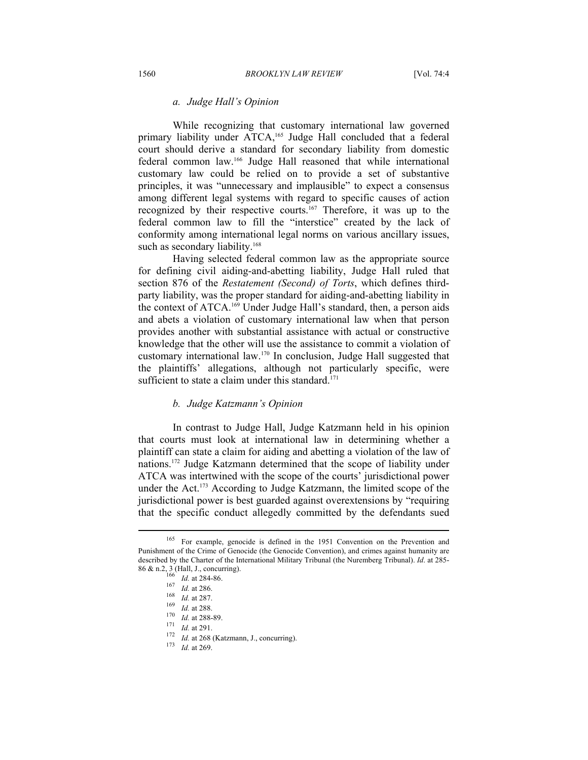#### *a. Judge Hall's Opinion*

While recognizing that customary international law governed primary liability under ATCA,<sup>165</sup> Judge Hall concluded that a federal court should derive a standard for secondary liability from domestic federal common law.166 Judge Hall reasoned that while international customary law could be relied on to provide a set of substantive principles, it was "unnecessary and implausible" to expect a consensus among different legal systems with regard to specific causes of action recognized by their respective courts.167 Therefore, it was up to the federal common law to fill the "interstice" created by the lack of conformity among international legal norms on various ancillary issues, such as secondary liability.<sup>168</sup>

Having selected federal common law as the appropriate source for defining civil aiding-and-abetting liability, Judge Hall ruled that section 876 of the *Restatement (Second) of Torts*, which defines thirdparty liability, was the proper standard for aiding-and-abetting liability in the context of ATCA.169 Under Judge Hall's standard, then, a person aids and abets a violation of customary international law when that person provides another with substantial assistance with actual or constructive knowledge that the other will use the assistance to commit a violation of customary international law.170 In conclusion, Judge Hall suggested that the plaintiffs' allegations, although not particularly specific, were sufficient to state a claim under this standard.<sup>171</sup>

#### *b. Judge Katzmann's Opinion*

In contrast to Judge Hall, Judge Katzmann held in his opinion that courts must look at international law in determining whether a plaintiff can state a claim for aiding and abetting a violation of the law of nations.172 Judge Katzmann determined that the scope of liability under ATCA was intertwined with the scope of the courts' jurisdictional power under the Act.<sup>173</sup> According to Judge Katzmann, the limited scope of the jurisdictional power is best guarded against overextensions by "requiring that the specific conduct allegedly committed by the defendants sued

<sup>165</sup> For example, genocide is defined in the 1951 Convention on the Prevention and Punishment of the Crime of Genocide (the Genocide Convention), and crimes against humanity are described by the Charter of the International Military Tribunal (the Nuremberg Tribunal). *Id*. at 285- 86 & n.2, 3 (Hall, J., concurring).<br>
<sup>166</sup> *Id.* at 284-86.<br>
<sup>167</sup> *Id.* at 286.<br>
<sup>168</sup> *Id.* at 287.<br>
<sup>169</sup> *Id.* at 288.<br>
<sup>170</sup> *Id.* at 288-89.<br>
<sup>171</sup> *Id.* at 291.<br>
<sup>172</sup> *Id.* at 268 (Katzmann, J., concurring).<br>
<sup>173</sup>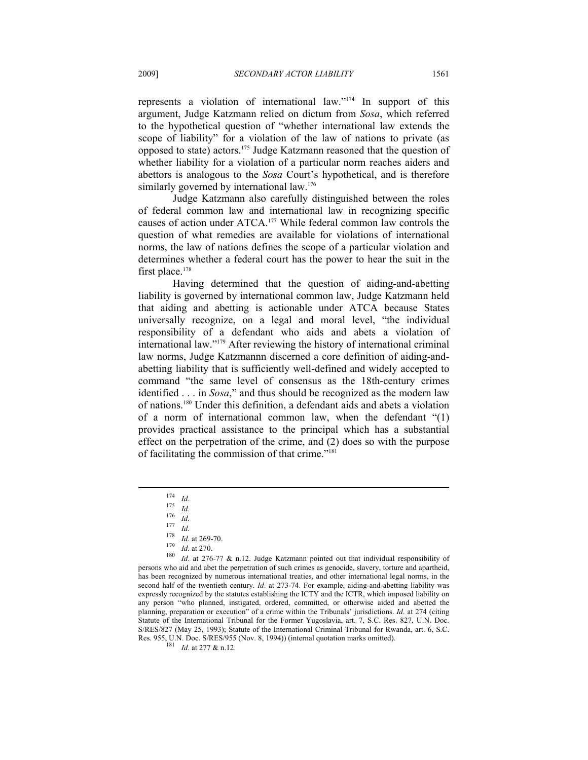represents a violation of international law."174 In support of this argument, Judge Katzmann relied on dictum from *Sosa*, which referred to the hypothetical question of "whether international law extends the scope of liability" for a violation of the law of nations to private (as opposed to state) actors.175 Judge Katzmann reasoned that the question of whether liability for a violation of a particular norm reaches aiders and abettors is analogous to the *Sosa* Court's hypothetical, and is therefore similarly governed by international law.<sup>176</sup>

Judge Katzmann also carefully distinguished between the roles of federal common law and international law in recognizing specific causes of action under ATCA.177 While federal common law controls the question of what remedies are available for violations of international norms, the law of nations defines the scope of a particular violation and determines whether a federal court has the power to hear the suit in the first place.<sup>178</sup>

Having determined that the question of aiding-and-abetting liability is governed by international common law, Judge Katzmann held that aiding and abetting is actionable under ATCA because States universally recognize, on a legal and moral level, "the individual responsibility of a defendant who aids and abets a violation of international law."179 After reviewing the history of international criminal law norms, Judge Katzmannn discerned a core definition of aiding-andabetting liability that is sufficiently well-defined and widely accepted to command "the same level of consensus as the 18th-century crimes identified . . . in *Sosa*," and thus should be recognized as the modern law of nations.180 Under this definition, a defendant aids and abets a violation of a norm of international common law, when the defendant "(1) provides practical assistance to the principal which has a substantial effect on the perpetration of the crime, and (2) does so with the purpose of facilitating the commission of that crime."181

<sup>174</sup> *Id.*<br>175 *Id.*<br>177 *Id.*<br>178 *Id.* at 269-70.<br><sup>179</sup> *Id.* at 270.<br><sup>180</sup> *Id.* at 276-77 & n.12. Judge Katzmann pointed out that individual responsibility of persons who aid and abet the perpetration of such crimes as genocide, slavery, torture and apartheid, has been recognized by numerous international treaties, and other international legal norms, in the second half of the twentieth century. *Id*. at 273-74. For example, aiding-and-abetting liability was expressly recognized by the statutes establishing the ICTY and the ICTR, which imposed liability on any person "who planned, instigated, ordered, committed, or otherwise aided and abetted the planning, preparation or execution" of a crime within the Tribunals' jurisdictions. *Id*. at 274 (citing Statute of the International Tribunal for the Former Yugoslavia, art. 7, S.C. Res. 827, U.N. Doc. S/RES/827 (May 25, 1993); Statute of the International Criminal Tribunal for Rwanda, art. 6, S.C. Res. 955, U.N. Doc. S/RES/955 (Nov. 8, 1994)) (internal quotation marks omitted). 181 *Id.* at 277 & n.12.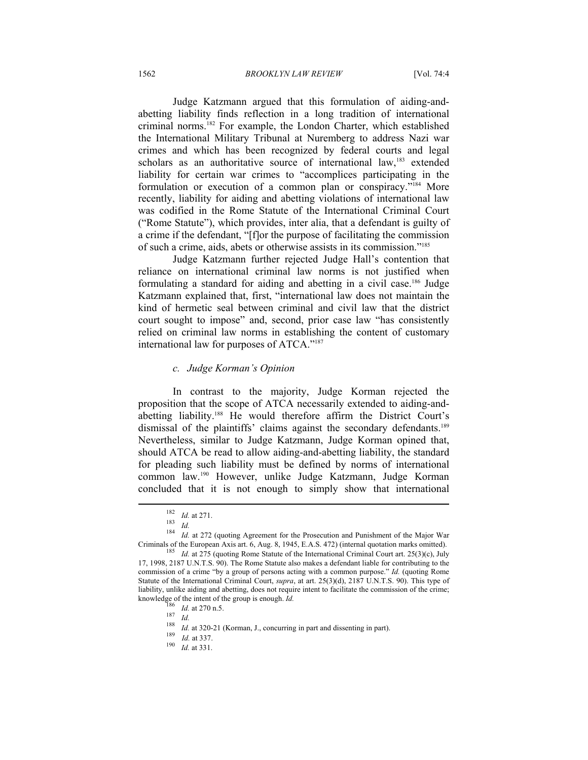#### 1562 *BROOKLYN LAW REVIEW* [Vol. 74:4

Judge Katzmann argued that this formulation of aiding-andabetting liability finds reflection in a long tradition of international criminal norms.182 For example, the London Charter, which established the International Military Tribunal at Nuremberg to address Nazi war crimes and which has been recognized by federal courts and legal scholars as an authoritative source of international law,<sup>183</sup> extended liability for certain war crimes to "accomplices participating in the formulation or execution of a common plan or conspiracy."184 More recently, liability for aiding and abetting violations of international law was codified in the Rome Statute of the International Criminal Court ("Rome Statute"), which provides, inter alia, that a defendant is guilty of a crime if the defendant, "[f]or the purpose of facilitating the commission of such a crime, aids, abets or otherwise assists in its commission."185

Judge Katzmann further rejected Judge Hall's contention that reliance on international criminal law norms is not justified when formulating a standard for aiding and abetting in a civil case.186 Judge Katzmann explained that, first, "international law does not maintain the kind of hermetic seal between criminal and civil law that the district court sought to impose" and, second, prior case law "has consistently relied on criminal law norms in establishing the content of customary international law for purposes of ATCA."187

#### *c. Judge Korman's Opinion*

In contrast to the majority, Judge Korman rejected the proposition that the scope of ATCA necessarily extended to aiding-andabetting liability.188 He would therefore affirm the District Court's dismissal of the plaintiffs' claims against the secondary defendants.<sup>189</sup> Nevertheless, similar to Judge Katzmann, Judge Korman opined that, should ATCA be read to allow aiding-and-abetting liability, the standard for pleading such liability must be defined by norms of international common law.190 However, unlike Judge Katzmann, Judge Korman concluded that it is not enough to simply show that international

<sup>182</sup> *Id.* at 271.<br><sup>183</sup> *Id.*<br><sup>184</sup> *Id.* at 272 (quoting Agreement for the Prosecution and Punishment of the Major War

Criminals of the European Axis art. 6, Aug. 8, 1945, E.A.S. 472) (internal quotation marks omitted). 185 *Id.* at 275 (quoting Rome Statute of the International Criminal Court art. 25(3)(c), July 17, 1998, 2187 U.N.T.S. 90). The Rome Statute also makes a defendant liable for contributing to the commission of a crime "by a group of persons acting with a common purpose." *Id.* (quoting Rome Statute of the International Criminal Court, *supra*, at art. 25(3)(d), 2187 U.N.T.S. 90). This type of liability, unlike aiding and abetting, does not require intent to facilitate the commission of the crime;<br>knowledge of the intent of the group is enough. *Id*.<br><sup>186</sup>

<sup>&</sup>lt;sup>186</sup> *Id.* at 270 n.5.<br>
<sup>187</sup> *Id.*<br>
<sup>188</sup> *Id.* at 320-21 (Korman, J., concurring in part and dissenting in part).<br>
<sup>189</sup> *Id.* at 337.<br> *190 Id.* at 331.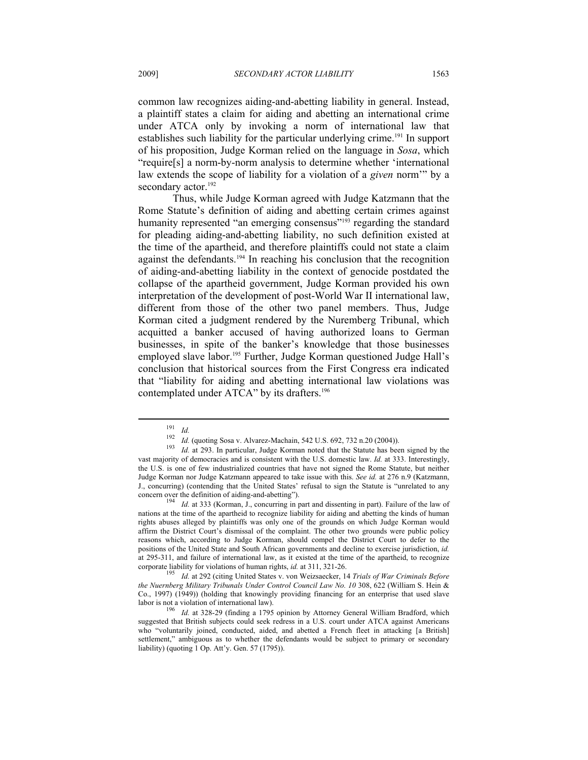common law recognizes aiding-and-abetting liability in general. Instead, a plaintiff states a claim for aiding and abetting an international crime under ATCA only by invoking a norm of international law that establishes such liability for the particular underlying crime.<sup>191</sup> In support of his proposition, Judge Korman relied on the language in *Sosa*, which "require[s] a norm-by-norm analysis to determine whether 'international law extends the scope of liability for a violation of a *given* norm'" by a secondary actor.<sup>192</sup>

Thus, while Judge Korman agreed with Judge Katzmann that the Rome Statute's definition of aiding and abetting certain crimes against humanity represented "an emerging consensus"<sup>193</sup> regarding the standard for pleading aiding-and-abetting liability, no such definition existed at the time of the apartheid, and therefore plaintiffs could not state a claim against the defendants.194 In reaching his conclusion that the recognition of aiding-and-abetting liability in the context of genocide postdated the collapse of the apartheid government, Judge Korman provided his own interpretation of the development of post-World War II international law, different from those of the other two panel members. Thus, Judge Korman cited a judgment rendered by the Nuremberg Tribunal, which acquitted a banker accused of having authorized loans to German businesses, in spite of the banker's knowledge that those businesses employed slave labor.<sup>195</sup> Further, Judge Korman questioned Judge Hall's conclusion that historical sources from the First Congress era indicated that "liability for aiding and abetting international law violations was contemplated under ATCA" by its drafters.<sup>196</sup>

<sup>191</sup> *Id.* <sup>192</sup> *Id.* (quoting Sosa v. Alvarez-Machain, 542 U.S. 692, 732 n.20 (2004)). 193 *Id.* at 293. In particular, Judge Korman noted that the Statute has been signed by the vast majority of democracies and is consistent with the U.S. domestic law. *Id.* at 333. Interestingly, the U.S. is one of few industrialized countries that have not signed the Rome Statute, but neither Judge Korman nor Judge Katzmann appeared to take issue with this. *See id.* at 276 n.9 (Katzmann, J., concurring) (contending that the United States' refusal to sign the Statute is "unrelated to any concern over the definition of aiding-and-abetting").

Id. at 333 (Korman, J., concurring in part and dissenting in part). Failure of the law of nations at the time of the apartheid to recognize liability for aiding and abetting the kinds of human rights abuses alleged by plaintiffs was only one of the grounds on which Judge Korman would affirm the District Court's dismissal of the complaint. The other two grounds were public policy reasons which, according to Judge Korman, should compel the District Court to defer to the positions of the United State and South African governments and decline to exercise jurisdiction, *id.* at 295-311, and failure of international law, as it existed at the time of the apartheid, to recognize corporate liability for violations of human rights, *id.* at 311, 321-26. 195 *Id.* at 292 (citing United States v. von Weizsaecker, 14 *Trials of War Criminals Before* 

*the Nuernberg Military Tribunals Under Control Council Law No. 10* 308, 622 (William S. Hein & Co., 1997) (1949)) (holding that knowingly providing financing for an enterprise that used slave labor is not a violation of international law).

<sup>&</sup>lt;sup>196</sup> Id. at 328-29 (finding a 1795 opinion by Attorney General William Bradford, which suggested that British subjects could seek redress in a U.S. court under ATCA against Americans who "voluntarily joined, conducted, aided, and abetted a French fleet in attacking [a British] settlement," ambiguous as to whether the defendants would be subject to primary or secondary liability) (quoting 1 Op. Att'y. Gen. 57 (1795)).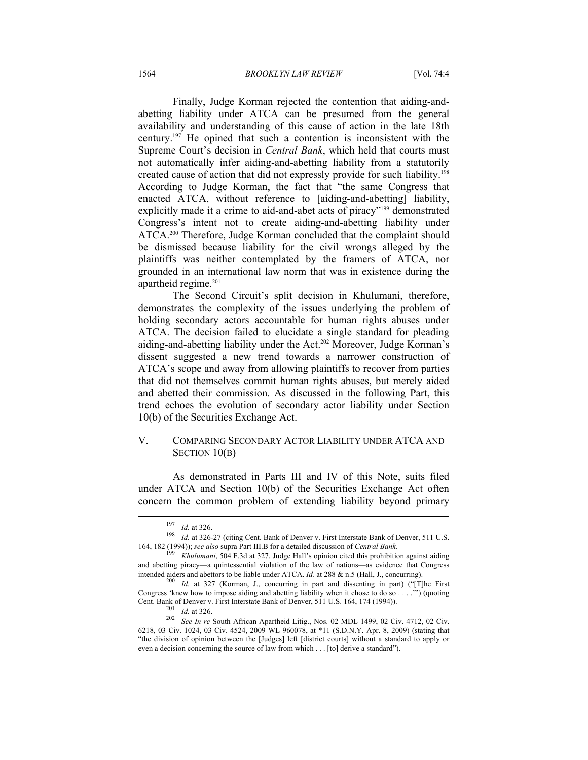Finally, Judge Korman rejected the contention that aiding-andabetting liability under ATCA can be presumed from the general availability and understanding of this cause of action in the late 18th century.197 He opined that such a contention is inconsistent with the Supreme Court's decision in *Central Bank*, which held that courts must not automatically infer aiding-and-abetting liability from a statutorily created cause of action that did not expressly provide for such liability.198 According to Judge Korman, the fact that "the same Congress that enacted ATCA, without reference to [aiding-and-abetting] liability, explicitly made it a crime to aid-and-abet acts of piracy"<sup>199</sup> demonstrated Congress's intent not to create aiding-and-abetting liability under ATCA.<sup>200</sup> Therefore, Judge Korman concluded that the complaint should be dismissed because liability for the civil wrongs alleged by the plaintiffs was neither contemplated by the framers of ATCA, nor grounded in an international law norm that was in existence during the apartheid regime.<sup>201</sup>

The Second Circuit's split decision in Khulumani, therefore, demonstrates the complexity of the issues underlying the problem of holding secondary actors accountable for human rights abuses under ATCA. The decision failed to elucidate a single standard for pleading aiding-and-abetting liability under the Act.<sup>202</sup> Moreover, Judge Korman's dissent suggested a new trend towards a narrower construction of ATCA's scope and away from allowing plaintiffs to recover from parties that did not themselves commit human rights abuses, but merely aided and abetted their commission. As discussed in the following Part, this trend echoes the evolution of secondary actor liability under Section 10(b) of the Securities Exchange Act.

## V. COMPARING SECONDARY ACTOR LIABILITY UNDER ATCA AND SECTION 10(B)

As demonstrated in Parts III and IV of this Note, suits filed under ATCA and Section 10(b) of the Securities Exchange Act often concern the common problem of extending liability beyond primary  $\overline{a}$ 

<sup>197</sup> *Id.* at 326.<br>198 *Id.* at 326-27 (citing Cent. Bank of Denver v. First Interstate Bank of Denver, 511 U.S.<br>164, 182 (1994)); see also supra Part III.B for a detailed discussion of *Central Bank*.

<sup>&</sup>lt;sup>199</sup> *Khulumani*, 504 F.3d at 327. Judge Hall's opinion cited this prohibition against aiding and abetting piracy—a quintessential violation of the law of nations—as evidence that Congress intended aiders and abettors to be liable under ATCA. *Id.* at 288 & n.5 (Hall, J., concurring).<br><sup>200</sup> *Id.* at 327 (Korman, J., concurring in part and dissenting in part) ("[T]he First

Congress 'knew how to impose aiding and abetting liability when it chose to do so  $\dots$ .") (quoting Cent. Bank of Denver v. First Interstate Bank of Denver, 511 U.S. 164, 174 (1994)). 201 *Id.* at 326. 202 *See In re* South African Apartheid Litig., Nos. 02 MDL 1499, 02 Civ. 4712, 02 Civ.

<sup>6218, 03</sup> Civ. 1024, 03 Civ. 4524, 2009 WL 960078, at \*11 (S.D.N.Y. Apr. 8, 2009) (stating that "the division of opinion between the [Judges] left [district courts] without a standard to apply or even a decision concerning the source of law from which . . . [to] derive a standard").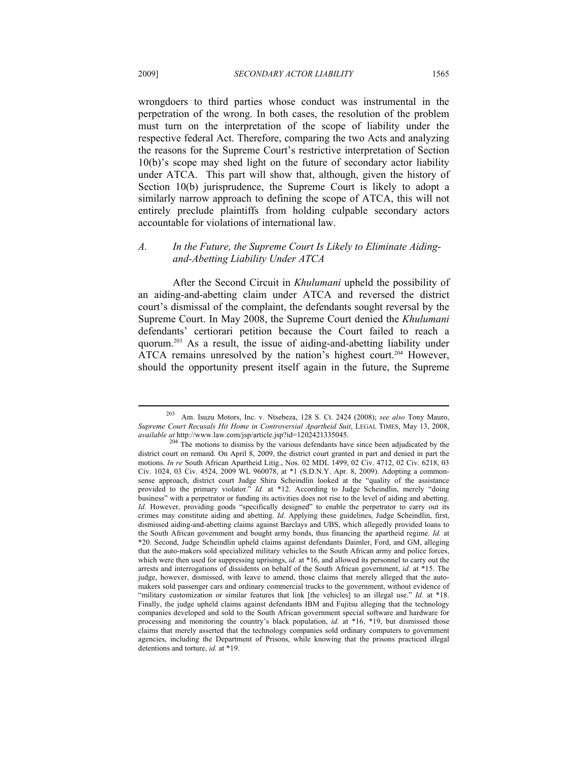wrongdoers to third parties whose conduct was instrumental in the perpetration of the wrong. In both cases, the resolution of the problem must turn on the interpretation of the scope of liability under the respective federal Act. Therefore, comparing the two Acts and analyzing the reasons for the Supreme Court's restrictive interpretation of Section 10(b)'s scope may shed light on the future of secondary actor liability under ATCA. This part will show that, although, given the history of Section 10(b) jurisprudence, the Supreme Court is likely to adopt a similarly narrow approach to defining the scope of ATCA, this will not entirely preclude plaintiffs from holding culpable secondary actors accountable for violations of international law.

### *A. In the Future, the Supreme Court Is Likely to Eliminate Aidingand-Abetting Liability Under ATCA*

After the Second Circuit in *Khulumani* upheld the possibility of an aiding-and-abetting claim under ATCA and reversed the district court's dismissal of the complaint, the defendants sought reversal by the Supreme Court. In May 2008, the Supreme Court denied the *Khulumani* defendants' certiorari petition because the Court failed to reach a quorum.203 As a result, the issue of aiding-and-abetting liability under ATCA remains unresolved by the nation's highest court.<sup>204</sup> However, should the opportunity present itself again in the future, the Supreme

<sup>203</sup> Am. Isuzu Motors, Inc. v. Ntsebeza, 128 S. Ct. 2424 (2008); *see also* Tony Mauro, *Supreme Court Recusals Hit Home in Controversial Apartheid Suit*, LEGAL TIMES, May 13, 2008, *available at* http://www.law.com/jsp/article.jsp?id=1202421335045.

<sup>&</sup>lt;sup>204</sup> The motions to dismiss by the various defendants have since been adjudicated by the district court on remand. On April 8, 2009, the district court granted in part and denied in part the motions. *In re* South African Apartheid Litig., Nos. 02 MDL 1499, 02 Civ. 4712, 02 Civ. 6218, 03 Civ. 1024, 03 Civ. 4524, 2009 WL 960078, at \*1 (S.D.N.Y. Apr. 8, 2009). Adopting a commonsense approach, district court Judge Shira Scheindlin looked at the "quality of the assistance provided to the primary violator." *Id.* at \*12. According to Judge Scheindlin, merely "doing business" with a perpetrator or funding its activities does not rise to the level of aiding and abetting. *Id.* However, providing goods "specifically designed" to enable the perpetrator to carry out its crimes may constitute aiding and abetting. *Id*. Applying these guidelines, Judge Scheindlin, first, dismissed aiding-and-abetting claims against Barclays and UBS, which allegedly provided loans to the South African government and bought army bonds, thus financing the apartheid regime. *Id.* at \*20. Second, Judge Scheindlin upheld claims against defendants Daimler, Ford, and GM, alleging that the auto-makers sold specialized military vehicles to the South African army and police forces, which were then used for suppressing uprisings, *id.* at \*16, and allowed its personnel to carry out the arrests and interrogations of dissidents on behalf of the South African government, *id.* at \*15. The judge, however, dismissed, with leave to amend, those claims that merely alleged that the automakers sold passenger cars and ordinary commercial trucks to the government, without evidence of "military customization or similar features that link [the vehicles] to an illegal use." *Id.* at \*18. Finally, the judge upheld claims against defendants IBM and Fujitsu alleging that the technology companies developed and sold to the South African government special software and hardware for processing and monitoring the country's black population, *id.* at \*16, \*19, but dismissed those claims that merely asserted that the technology companies sold ordinary computers to government agencies, including the Department of Prisons, while knowing that the prisons practiced illegal detentions and torture, *id.* at \*19.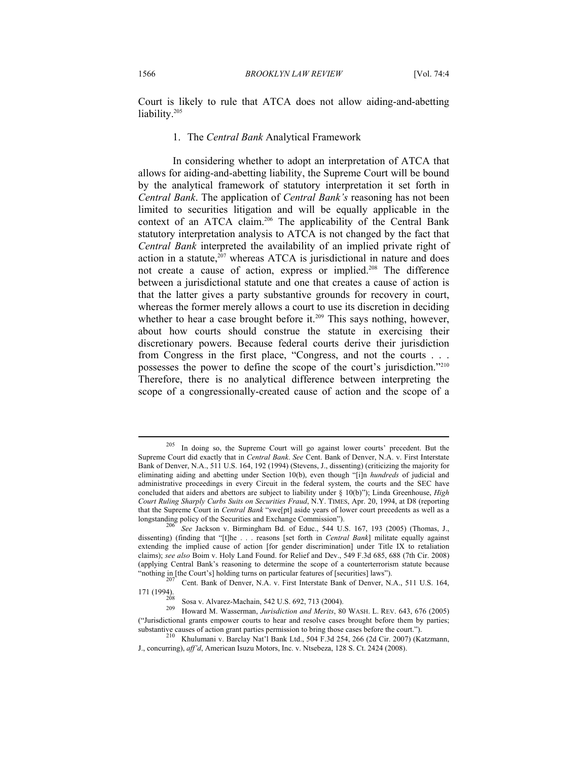Court is likely to rule that ATCA does not allow aiding-and-abetting liability.<sup>205</sup>

#### 1. The *Central Bank* Analytical Framework

In considering whether to adopt an interpretation of ATCA that allows for aiding-and-abetting liability, the Supreme Court will be bound by the analytical framework of statutory interpretation it set forth in *Central Bank*. The application of *Central Bank's* reasoning has not been limited to securities litigation and will be equally applicable in the context of an ATCA claim.<sup>206</sup> The applicability of the Central Bank statutory interpretation analysis to ATCA is not changed by the fact that *Central Bank* interpreted the availability of an implied private right of action in a statute, $2^{07}$  whereas ATCA is jurisdictional in nature and does not create a cause of action, express or implied.<sup>208</sup> The difference between a jurisdictional statute and one that creates a cause of action is that the latter gives a party substantive grounds for recovery in court, whereas the former merely allows a court to use its discretion in deciding whether to hear a case brought before it.<sup>209</sup> This says nothing, however, about how courts should construe the statute in exercising their discretionary powers. Because federal courts derive their jurisdiction from Congress in the first place, "Congress, and not the courts . . . possesses the power to define the scope of the court's jurisdiction."210 Therefore, there is no analytical difference between interpreting the scope of a congressionally-created cause of action and the scope of a

<sup>205</sup> In doing so, the Supreme Court will go against lower courts' precedent. But the Supreme Court did exactly that in *Central Bank*. *See* Cent. Bank of Denver, N.A. v. First Interstate Bank of Denver, N.A., 511 U.S. 164, 192 (1994) (Stevens, J., dissenting) (criticizing the majority for eliminating aiding and abetting under Section 10(b), even though "[i]n *hundreds* of judicial and administrative proceedings in every Circuit in the federal system, the courts and the SEC have concluded that aiders and abettors are subject to liability under § 10(b)"); Linda Greenhouse, *High Court Ruling Sharply Curbs Suits on Securities Fraud*, N.Y. TIMES, Apr. 20, 1994, at D8 (reporting that the Supreme Court in *Central Bank* "swe[pt] aside years of lower court precedents as well as a longstanding policy of the Securities and Exchange Commission"). 206 *See* Jackson v. Birmingham Bd. of Educ., 544 U.S. 167, 193 (2005) (Thomas, J.,

dissenting) (finding that "[t]he . . . reasons [set forth in *Central Bank*] militate equally against extending the implied cause of action [for gender discrimination] under Title IX to retaliation claims); *see also* Boim v. Holy Land Found. for Relief and Dev., 549 F.3d 685, 688 (7th Cir. 2008) (applying Central Bank's reasoning to determine the scope of a counterterrorism statute because "nothing in [the Court's] holding turns on particular features of [securities] laws"). 207 Cent. Bank of Denver, N.A. v. First Interstate Bank of Denver, N.A., 511 U.S. 164,

<sup>171 (1994). 208</sup> Sosa v. Alvarez-Machain, 542 U.S. 692, 713 (2004). 209 Howard M. Wasserman, *Jurisdiction and Merits*, 80 WASH. L. REV. 643, 676 (2005)

<sup>(&</sup>quot;Jurisdictional grants empower courts to hear and resolve cases brought before them by parties;

substantive causes of action grant parties permission to bring those cases before the court.").<br><sup>210</sup> Khulumani v. Barclay Nat'l Bank Ltd., 504 F.3d 254, 266 (2d Cir. 2007) (Katzmann, J., concurring), *aff'd*, American Isuzu Motors, Inc. v. Ntsebeza, 128 S. Ct. 2424 (2008).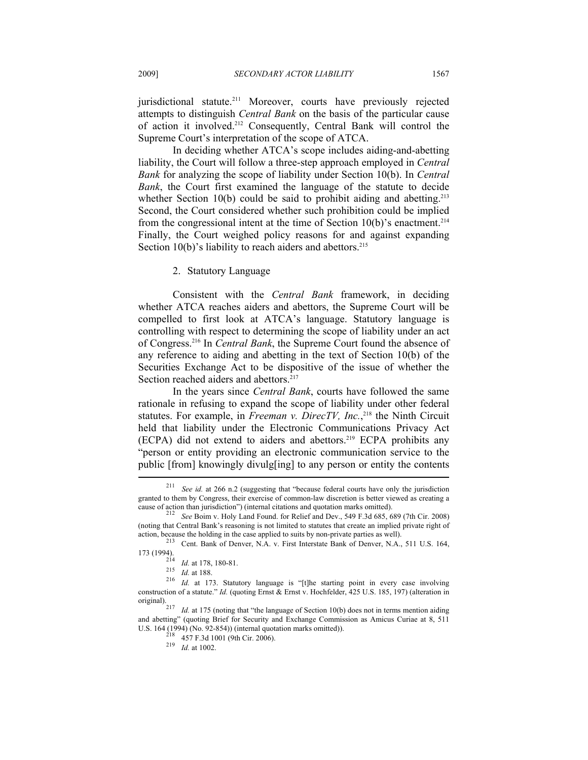jurisdictional statute.<sup>211</sup> Moreover, courts have previously rejected attempts to distinguish *Central Bank* on the basis of the particular cause of action it involved.212 Consequently, Central Bank will control the Supreme Court's interpretation of the scope of ATCA.

In deciding whether ATCA's scope includes aiding-and-abetting liability, the Court will follow a three-step approach employed in *Central Bank* for analyzing the scope of liability under Section 10(b). In *Central Bank*, the Court first examined the language of the statute to decide whether Section 10(b) could be said to prohibit aiding and abetting.<sup>213</sup> Second, the Court considered whether such prohibition could be implied from the congressional intent at the time of Section  $10(b)$ 's enactment.<sup>214</sup> Finally, the Court weighed policy reasons for and against expanding Section  $10(b)$ 's liability to reach aiders and abettors.<sup>215</sup>

#### 2. Statutory Language

Consistent with the *Central Bank* framework, in deciding whether ATCA reaches aiders and abettors, the Supreme Court will be compelled to first look at ATCA's language. Statutory language is controlling with respect to determining the scope of liability under an act of Congress.216 In *Central Bank*, the Supreme Court found the absence of any reference to aiding and abetting in the text of Section 10(b) of the Securities Exchange Act to be dispositive of the issue of whether the Section reached aiders and abettors.<sup>217</sup>

In the years since *Central Bank*, courts have followed the same rationale in refusing to expand the scope of liability under other federal statutes. For example, in *Freeman v. DirecTV, Inc.*, 218 the Ninth Circuit held that liability under the Electronic Communications Privacy Act (ECPA) did not extend to aiders and abettors.219 ECPA prohibits any "person or entity providing an electronic communication service to the public [from] knowingly divulg[ing] to any person or entity the contents  $\overline{\phantom{a}}$ 

See id. at 266 n.2 (suggesting that "because federal courts have only the jurisdiction granted to them by Congress, their exercise of common-law discretion is better viewed as creating a cause of action than jurisdiction") (internal citations and quotation marks omitted).

<sup>&</sup>lt;sup>212</sup> *See* Boim v. Holy Land Found. for Relief and Dev., 549 F.3d 685, 689 (7th Cir. 2008) (noting that Central Bank's reasoning is not limited to statutes that create an implied private right of action, because the holding in the case applied to suits by non-private parties as well).

<sup>&</sup>lt;sup>213</sup> Cent. Bank of Denver, N.A. v. First Interstate Bank of Denver, N.A., 511 U.S. 164,  $\frac{173}{1994}$ . *Id.* at 178, 180-81.

<sup>1</sup>*14.* at 176, 180-81.<br>
<sup>215</sup> *Id.* at 188.<br>
<sup>216</sup> *Id.* at 173. Statutory language is "[t]he starting point in every case involving construction of a statute." *Id.* (quoting Ernst & Ernst v. Hochfelder, 425 U.S. 185, 197) (alteration in original).

*Id.* at 175 (noting that "the language of Section 10(b) does not in terms mention aiding and abetting" (quoting Brief for Security and Exchange Commission as Amicus Curiae at 8, 511 U.S. 164 (1994) (No. 92-854)) (internal quotation marks omitted)).

 $\frac{218}{218}$  457 F.3d 1001 (9th Cir. 2006).<br><sup>219</sup> *Id.* at 1002.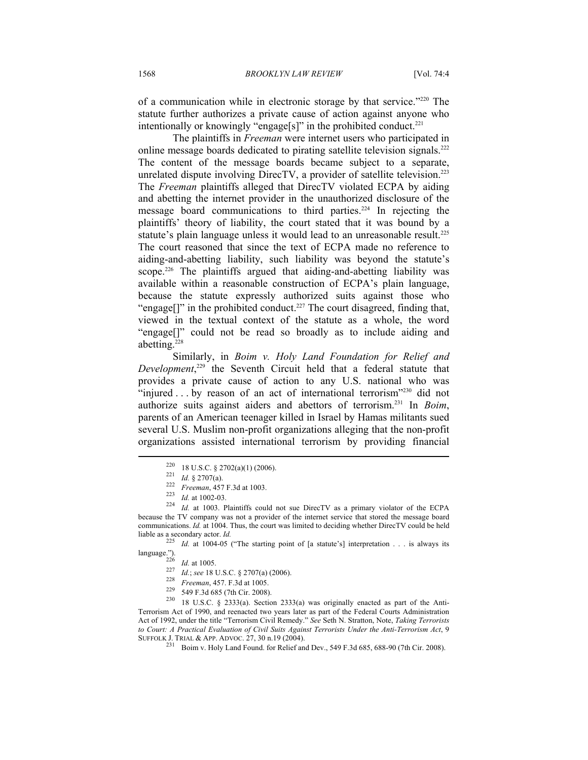of a communication while in electronic storage by that service."220 The statute further authorizes a private cause of action against anyone who intentionally or knowingly "engage[s]" in the prohibited conduct.<sup>221</sup>

The plaintiffs in *Freeman* were internet users who participated in online message boards dedicated to pirating satellite television signals.222 The content of the message boards became subject to a separate, unrelated dispute involving DirecTV, a provider of satellite television.<sup>223</sup> The *Freeman* plaintiffs alleged that DirecTV violated ECPA by aiding and abetting the internet provider in the unauthorized disclosure of the message board communications to third parties.224 In rejecting the plaintiffs' theory of liability, the court stated that it was bound by a statute's plain language unless it would lead to an unreasonable result.<sup>225</sup> The court reasoned that since the text of ECPA made no reference to aiding-and-abetting liability, such liability was beyond the statute's scope.<sup>226</sup> The plaintiffs argued that aiding-and-abetting liability was available within a reasonable construction of ECPA's plain language, because the statute expressly authorized suits against those who "engage[]" in the prohibited conduct.<sup>227</sup> The court disagreed, finding that, viewed in the textual context of the statute as a whole, the word "engage[]" could not be read so broadly as to include aiding and abetting.228

Similarly, in *Boim v. Holy Land Foundation for Relief and Development*, 229 the Seventh Circuit held that a federal statute that provides a private cause of action to any U.S. national who was "injured . . . by reason of an act of international terrorism"<sup>230</sup> did not authorize suits against aiders and abettors of terrorism.231 In *Boim*, parents of an American teenager killed in Israel by Hamas militants sued several U.S. Muslim non-profit organizations alleging that the non-profit organizations assisted international terrorism by providing financial

<sup>&</sup>lt;sup>220</sup> 18 U.S.C. § 2702(a)(1) (2006).<br>
<sup>221</sup> *Id.* § 2707(a).<br>
<sup>222</sup> *Id.* at 1002-03.<br>
<sup>224</sup> *Id.* at 1003. Plaintiffs could not sue DirecTV as a primary violator of the ECPA because the TV company was not a provider of the internet service that stored the message board communications. *Id.* at 1004. Thus, the court was limited to deciding whether DirecTV could be held

liable as a secondary actor. *Id.*<br><sup>225</sup> *Id.* at 1004-05 ("The starting point of [a statute's] interpretation . . . is always its language.").

<sup>&</sup>lt;sup>226</sup> *Id.* at 1005.<br>
<sup>227</sup> *Id.*; see 18 U.S.C. § 2707(a) (2006).<br>
<sup>228</sup> *Freeman*, 457. F.3d at 1005.<br>
<sup>229</sup> 549 F.3d 685 (7th Cir. 2008).<br>
18 U.S.C. § 2333(a). Section 2333(a) was originally enacted as part of the Anti Terrorism Act of 1990, and reenacted two years later as part of the Federal Courts Administration Act of 1992, under the title "Terrorism Civil Remedy." *See* Seth N. Stratton, Note, *Taking Terrorists to Court: A Practical Evaluation of Civil Suits Against Terrorists Under the Anti-Terrorism Act*, 9 SUFFOLK J. TRIAL & APP. ADVOC. 27, 30 n.19 (2004).<br><sup>231</sup> Boim v. Holy Land Found. for Relief and Dev., 549 F.3d 685, 688-90 (7th Cir. 2008).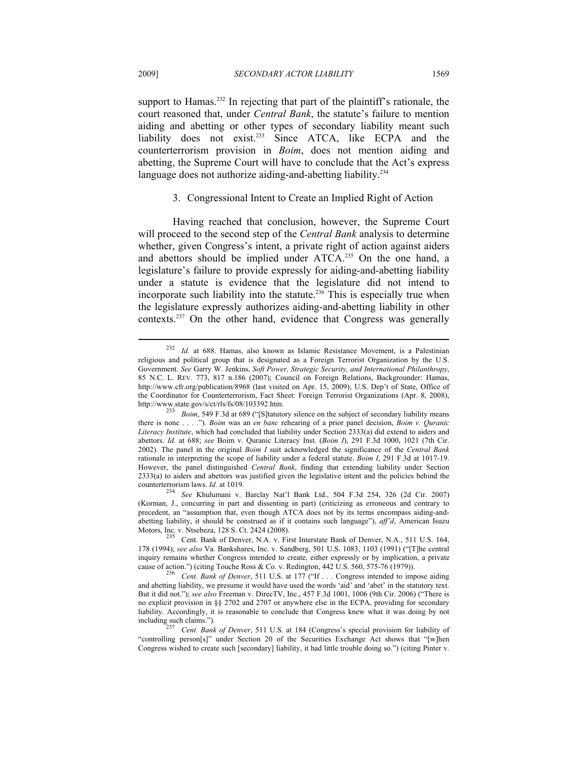support to Hamas.<sup>232</sup> In rejecting that part of the plaintiff's rationale, the court reasoned that, under *Central Bank*, the statute's failure to mention aiding and abetting or other types of secondary liability meant such liability does not exist.<sup>233</sup> Since ATCA, like ECPA and the counterterrorism provision in *Boim*, does not mention aiding and abetting, the Supreme Court will have to conclude that the Act's express language does not authorize aiding-and-abetting liability.<sup>234</sup>

#### 3. Congressional Intent to Create an Implied Right of Action

Having reached that conclusion, however, the Supreme Court will proceed to the second step of the *Central Bank* analysis to determine whether, given Congress's intent, a private right of action against aiders and abettors should be implied under ATCA.235 On the one hand, a legislature's failure to provide expressly for aiding-and-abetting liability under a statute is evidence that the legislature did not intend to incorporate such liability into the statute.<sup>236</sup> This is especially true when the legislature expressly authorizes aiding-and-abetting liability in other contexts.237 On the other hand, evidence that Congress was generally

<sup>232</sup> *Id.* at 688. Hamas, also known as Islamic Resistance Movement, is a Palestinian religious and political group that is designated as a Foreign Terrorist Organization by the U.S. Government. *See* Garry W. Jenkins, *Soft Power, Strategic Security, and International Philanthropy*, 85 N.C. L. REV. 773, 817 n.186 (2007); Council on Foreign Relations, Backgrounder: Hamas, http://www.cfr.org/publication/8968 (last visited on Apr. 15, 2009); U.S. Dep't of State, Office of the Coordinator for Counterterrorism, Fact Sheet: Foreign Terrorist Organizations (Apr. 8, 2008), http://www.state.gov/s/ct/rls/fs/08/103392.htm.

*Boim*, 549 F.3d at 689 ("[S]tatutory silence on the subject of secondary liability means there is none . . . ."). *Boim* was an *en banc* rehearing of a prior panel decision, *Boim v. Quranic Literacy Institute*, which had concluded that liability under Section 2333(a) did extend to aiders and abettors. *Id.* at 688; *see* Boim v. Quranic Literacy Inst. (*Boim I*), 291 F.3d 1000, 1021 (7th Cir. 2002). The panel in the original *Boim I* suit acknowledged the significance of the *Central Bank* rationale in interpreting the scope of liability under a federal statute. *Boim I*, 291 F.3d at 1017-19. However, the panel distinguished *Central Bank*, finding that extending liability under Section 2333(a) to aiders and abettors was justified given the legislative intent and the policies behind the counterterrorism laws. *Id.* at 1019. 234 *See* Khulumani v. Barclay Nat'l Bank Ltd., 504 F.3d 254, 326 (2d Cir. 2007)

<sup>(</sup>Korman, J., concurring in part and dissenting in part) (criticizing as erroneous and contrary to precedent, an "assumption that, even though ATCA does not by its terms encompass aiding-andabetting liability, it should be construed as if it contains such language"), *aff'd*, American Isuzu Motors, Inc. v. Ntsebeza, 128 S. Ct. 2424 (2008).<br>
235 Cent. Bank of Denver, N.A. v. First Interstate Bank of Denver, N.A., 511 U.S. 164,

<sup>178 (1994);</sup> *see also* Va. Bankshares, Inc. v. Sandberg, 501 U.S. 1083, 1103 (1991) ("[T]he central inquiry remains whether Congress intended to create, either expressly or by implication, a private

cause of action.") (citing Touche Ross & Co. v. Redington, 442 U.S. 560, 575-76 (1979)). 236 *Cent. Bank of Denver*, 511 U.S. at 177 ("If . . . Congress intended to impose aiding and abetting liability, we presume it would have used the words 'aid' and 'abet' in the statutory text. But it did not."); *see also* Freeman v. DirecTV, Inc., 457 F.3d 1001, 1006 (9th Cir. 2006) ("There is no explicit provision in §§ 2702 and 2707 or anywhere else in the ECPA, providing for secondary liability. Accordingly, it is reasonable to conclude that Congress knew what it was doing by not including such claims."). 237 *Cent. Bank of Denver*, 511 U.S. at 184 (Congress's special provision for liability of

<sup>&</sup>quot;controlling person[s]" under Section 20 of the Securities Exchange Act shows that "[w]hen Congress wished to create such [secondary] liability, it had little trouble doing so.") (citing Pinter v.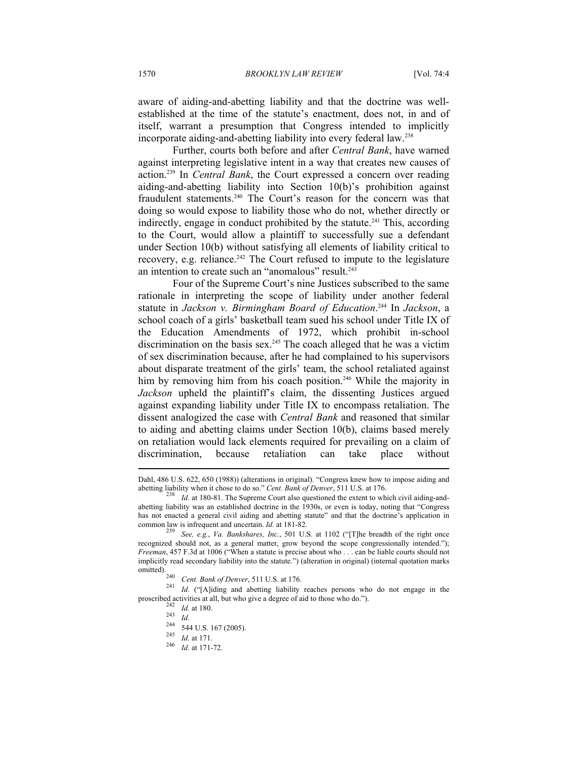aware of aiding-and-abetting liability and that the doctrine was wellestablished at the time of the statute's enactment, does not, in and of itself, warrant a presumption that Congress intended to implicitly incorporate aiding-and-abetting liability into every federal law.238

Further, courts both before and after *Central Bank*, have warned against interpreting legislative intent in a way that creates new causes of action.239 In *Central Bank*, the Court expressed a concern over reading aiding-and-abetting liability into Section 10(b)'s prohibition against fraudulent statements.<sup>240</sup> The Court's reason for the concern was that doing so would expose to liability those who do not, whether directly or indirectly, engage in conduct prohibited by the statute.<sup>241</sup> This, according to the Court, would allow a plaintiff to successfully sue a defendant under Section 10(b) without satisfying all elements of liability critical to recovery, e.g. reliance.<sup>242</sup> The Court refused to impute to the legislature an intention to create such an "anomalous" result.<sup>243</sup>

Four of the Supreme Court's nine Justices subscribed to the same rationale in interpreting the scope of liability under another federal statute in *Jackson v. Birmingham Board of Education*. 244 In *Jackson*, a school coach of a girls' basketball team sued his school under Title IX of the Education Amendments of 1972, which prohibit in-school discrimination on the basis sex.<sup>245</sup> The coach alleged that he was a victim of sex discrimination because, after he had complained to his supervisors about disparate treatment of the girls' team, the school retaliated against him by removing him from his coach position.<sup>246</sup> While the majority in *Jackson* upheld the plaintiff's claim, the dissenting Justices argued against expanding liability under Title IX to encompass retaliation. The dissent analogized the case with *Central Bank* and reasoned that similar to aiding and abetting claims under Section 10(b), claims based merely on retaliation would lack elements required for prevailing on a claim of discrimination, because retaliation can take place without  $\overline{a}$ 

Dahl, 486 U.S. 622, 650 (1988)) (alterations in original). "Congress knew how to impose aiding and abetting liability when it chose to do so." *Cent. Bank of Denver*, 511 U.S. at 176.<br><sup>238</sup> *Id.* at 180-81. The Supreme Court also questioned the extent to which civil aiding-and-

abetting liability was an established doctrine in the 1930s, or even is today, noting that "Congress has not enacted a general civil aiding and abetting statute" and that the doctrine's application in common law is infrequent and uncertain.  $Id$  at 181-82.

<sup>239</sup> See, e.g., *Va. Bankshares, Inc.*, 501 U.S. at 1102 ("[T]he breadth of the right once recognized should not, as a general matter, grow beyond the scope congressionally intended."); *Freeman*, 457 F.3d at 1006 ("When a statute is precise about who . . . can be liable courts should not implicitly read secondary liability into the statute.") (alteration in original) (internal quotation marks

<sup>&</sup>lt;sup>240</sup> *Cent. Bank of Denver*, 511 U.S. at 176. <sup>241</sup> *Id.* ("[A]iding and abetting liability reaches persons who do not engage in the proscribed activities at all, but who give a degree of aid to those who do.").<br>
<sup>242</sup> *Id.* at 180.<br>
<sup>243</sup> <sup>*Id.* 244 *S*. 44 U.S. 167 (2005).<br>
<sup>245</sup> *Id.* at 171.<br>
<sup>246</sup> *Id.* at 171-72.</sup>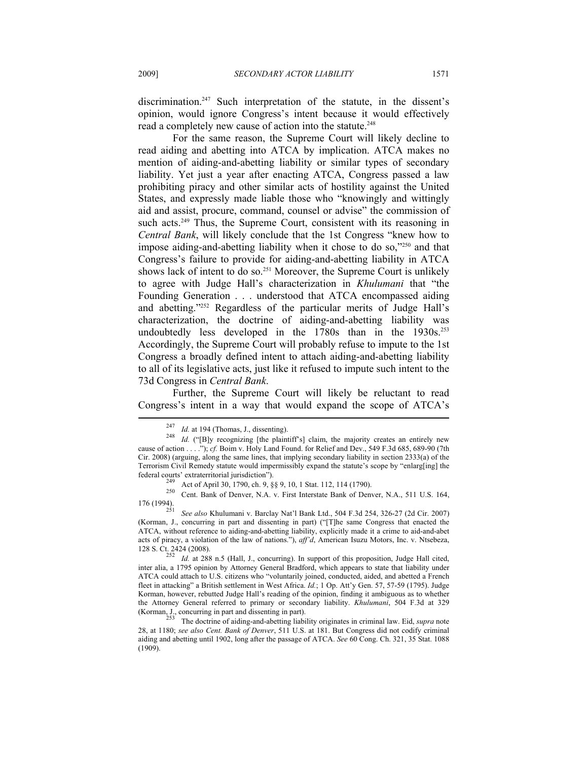discrimination.<sup>247</sup> Such interpretation of the statute, in the dissent's opinion, would ignore Congress's intent because it would effectively read a completely new cause of action into the statute.<sup>248</sup>

For the same reason, the Supreme Court will likely decline to read aiding and abetting into ATCA by implication. ATCA makes no mention of aiding-and-abetting liability or similar types of secondary liability. Yet just a year after enacting ATCA, Congress passed a law prohibiting piracy and other similar acts of hostility against the United States, and expressly made liable those who "knowingly and wittingly aid and assist, procure, command, counsel or advise" the commission of such acts.<sup>249</sup> Thus, the Supreme Court, consistent with its reasoning in *Central Bank*, will likely conclude that the 1st Congress "knew how to impose aiding-and-abetting liability when it chose to do so,"250 and that Congress's failure to provide for aiding-and-abetting liability in ATCA shows lack of intent to do so.<sup>251</sup> Moreover, the Supreme Court is unlikely to agree with Judge Hall's characterization in *Khulumani* that "the Founding Generation . . . understood that ATCA encompassed aiding and abetting."252 Regardless of the particular merits of Judge Hall's characterization, the doctrine of aiding-and-abetting liability was undoubtedly less developed in the  $1780s$  than in the  $1930s$ .<sup>253</sup> Accordingly, the Supreme Court will probably refuse to impute to the 1st Congress a broadly defined intent to attach aiding-and-abetting liability to all of its legislative acts, just like it refused to impute such intent to the 73d Congress in *Central Bank*.

Further, the Supreme Court will likely be reluctant to read Congress's intent in a way that would expand the scope of ATCA's  $\overline{a}$ 

federal courts' extraterritorial jurisdiction").<br>
<sup>249</sup> Act of April 30, 1790, ch. 9, §§ 9, 10, 1 Stat. 112, 114 (1790).<br>
<sup>250</sup> Cent. Bank of Denver, N.A. v. First Interstate Bank of Denver, N.A., 511 U.S. 164,<br>
176 (1994

176 (1994). 251 *See also* Khulumani v. Barclay Nat'l Bank Ltd., 504 F.3d 254, 326-27 (2d Cir. 2007) (Korman, J., concurring in part and dissenting in part) ("[T]he same Congress that enacted the ATCA, without reference to aiding-and-abetting liability, explicitly made it a crime to aid-and-abet acts of piracy, a violation of the law of nations."), *aff'd*, American Isuzu Motors, Inc. v. Ntsebeza,

128 S. Ct. 2424 (2008).<br><sup>252</sup> *Id.* at 288 n.5 (Hall, J., concurring). In support of this proposition, Judge Hall cited, inter alia, a 1795 opinion by Attorney General Bradford, which appears to state that liability under ATCA could attach to U.S. citizens who "voluntarily joined, conducted, aided, and abetted a French fleet in attacking" a British settlement in West Africa. *Id.*; 1 Op. Att'y Gen. 57, 57-59 (1795). Judge Korman, however, rebutted Judge Hall's reading of the opinion, finding it ambiguous as to whether the Attorney General referred to primary or secondary liability. *Khulumani*, 504 F.3d at 329 (Korman, J., concurring in part and dissenting in part). 253 The doctrine of aiding-and-abetting liability originates in criminal law. Eid, *supra* note

28, at 1180; *see also Cent. Bank of Denver*, 511 U.S. at 181. But Congress did not codify criminal aiding and abetting until 1902, long after the passage of ATCA. *See* 60 Cong. Ch. 321, 35 Stat. 1088 (1909).

<sup>247</sup> *Id.* at 194 (Thomas, J., dissenting). 248 *Id.* ("[B]y recognizing [the plaintiff's] claim, the majority creates an entirely new cause of action . . . ."); *cf.* Boim v. Holy Land Found. for Relief and Dev., 549 F.3d 685, 689-90 (7th Cir. 2008) (arguing, along the same lines, that implying secondary liability in section 2333(a) of the Terrorism Civil Remedy statute would impermissibly expand the statute's scope by "enlarg[ing] the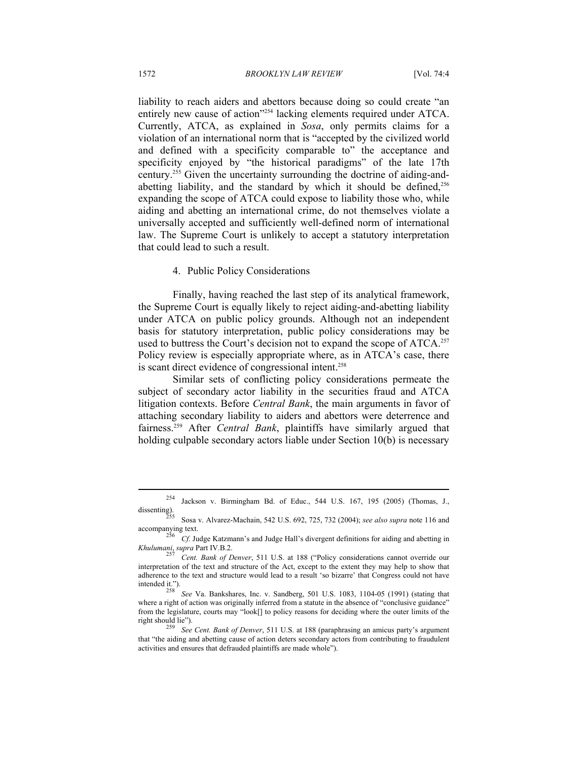liability to reach aiders and abettors because doing so could create "an entirely new cause of action<sup>"254</sup> lacking elements required under ATCA. Currently, ATCA, as explained in *Sosa*, only permits claims for a violation of an international norm that is "accepted by the civilized world and defined with a specificity comparable to" the acceptance and specificity enjoyed by "the historical paradigms" of the late 17th century.255 Given the uncertainty surrounding the doctrine of aiding-andabetting liability, and the standard by which it should be defined, $256$ expanding the scope of ATCA could expose to liability those who, while aiding and abetting an international crime, do not themselves violate a universally accepted and sufficiently well-defined norm of international law. The Supreme Court is unlikely to accept a statutory interpretation that could lead to such a result.

#### 4. Public Policy Considerations

Finally, having reached the last step of its analytical framework, the Supreme Court is equally likely to reject aiding-and-abetting liability under ATCA on public policy grounds. Although not an independent basis for statutory interpretation, public policy considerations may be used to buttress the Court's decision not to expand the scope of ATCA.<sup>257</sup> Policy review is especially appropriate where, as in ATCA's case, there is scant direct evidence of congressional intent.<sup>258</sup>

Similar sets of conflicting policy considerations permeate the subject of secondary actor liability in the securities fraud and ATCA litigation contexts. Before *Central Bank*, the main arguments in favor of attaching secondary liability to aiders and abettors were deterrence and fairness.259 After *Central Bank*, plaintiffs have similarly argued that holding culpable secondary actors liable under Section 10(b) is necessary

<sup>&</sup>lt;sup>254</sup> Jackson v. Birmingham Bd. of Educ., 544 U.S. 167, 195 (2005) (Thomas, J., dissenting).

Sosa v. Alvarez-Machain, 542 U.S. 692, 725, 732 (2004); *see also supra* note 116 and

accompanying text.<br><sup>256</sup> Cf. Judge Katzmann's and Judge Hall's divergent definitions for aiding and abetting in<br>*Khulumani*, *supra* Part IV.B.2.

*Cent. Bank of Denver*, 511 U.S. at 188 ("Policy considerations cannot override our interpretation of the text and structure of the Act, except to the extent they may help to show that adherence to the text and structure would lead to a result 'so bizarre' that Congress could not have<br>intended it.").<br> $\frac{358}{2}$   $\frac{1}{2}$   $\frac{1}{2}$   $\frac{1}{2}$   $\frac{1}{2}$   $\frac{1}{2}$   $\frac{1}{2}$   $\frac{1}{2}$   $\frac{1}{2}$   $\frac{1}{2}$   $\$ 

See Va. Bankshares, Inc. v. Sandberg, 501 U.S. 1083, 1104-05 (1991) (stating that where a right of action was originally inferred from a statute in the absence of "conclusive guidance" from the legislature, courts may "look[] to policy reasons for deciding where the outer limits of the right should lie"). 259 *See Cent. Bank of Denver*, 511 U.S. at 188 (paraphrasing an amicus party's argument

that "the aiding and abetting cause of action deters secondary actors from contributing to fraudulent activities and ensures that defrauded plaintiffs are made whole").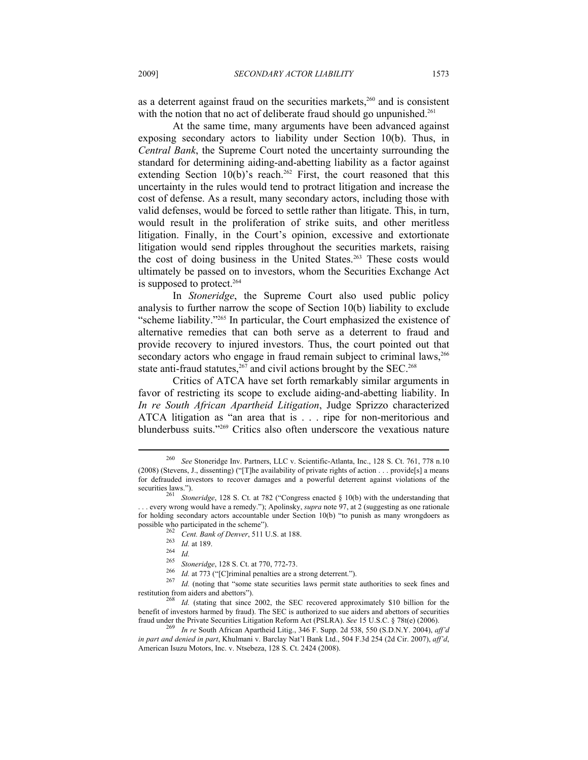as a deterrent against fraud on the securities markets, $260$  and is consistent with the notion that no act of deliberate fraud should go unpunished.<sup>261</sup>

At the same time, many arguments have been advanced against exposing secondary actors to liability under Section 10(b). Thus, in *Central Bank*, the Supreme Court noted the uncertainty surrounding the standard for determining aiding-and-abetting liability as a factor against extending Section  $10(b)$ 's reach.<sup>262</sup> First, the court reasoned that this uncertainty in the rules would tend to protract litigation and increase the cost of defense. As a result, many secondary actors, including those with valid defenses, would be forced to settle rather than litigate. This, in turn, would result in the proliferation of strike suits, and other meritless litigation. Finally, in the Court's opinion, excessive and extortionate litigation would send ripples throughout the securities markets, raising the cost of doing business in the United States.<sup>263</sup> These costs would ultimately be passed on to investors, whom the Securities Exchange Act is supposed to protect.<sup>264</sup>

In *Stoneridge*, the Supreme Court also used public policy analysis to further narrow the scope of Section 10(b) liability to exclude "scheme liability."265 In particular, the Court emphasized the existence of alternative remedies that can both serve as a deterrent to fraud and provide recovery to injured investors. Thus, the court pointed out that secondary actors who engage in fraud remain subject to criminal laws,<sup>266</sup> state anti-fraud statutes, $267$  and civil actions brought by the SEC.<sup>268</sup>

Critics of ATCA have set forth remarkably similar arguments in favor of restricting its scope to exclude aiding-and-abetting liability. In *In re South African Apartheid Litigation*, Judge Sprizzo characterized ATCA litigation as "an area that is . . . ripe for non-meritorious and blunderbuss suits."269 Critics also often underscore the vexatious nature

<sup>260</sup> *See* Stoneridge Inv. Partners, LLC v. Scientific-Atlanta, Inc., 128 S. Ct. 761, 778 n.10 (2008) (Stevens, J., dissenting) ("[T]he availability of private rights of action . . . provide[s] a means for defrauded investors to recover damages and a powerful deterrent against violations of the securities laws.").<br><sup>261</sup> *Stoneridge*, 128 S. Ct. at 782 ("Congress enacted § 10(b) with the understanding that

<sup>. . .</sup> every wrong would have a remedy."); Apolinsky, *supra* note 97, at 2 (suggesting as one rationale for holding secondary actors accountable under Section 10(b) "to punish as many wrongdoers as possible who participated in the scheme").

<sup>&</sup>lt;sup>262</sup> Cent. Bank of Denver, 511 U.S. at 188.<br>
<sup>263</sup> Id. at 189.<br>
<sup>264</sup> Id.<br>
<sup>266</sup> Id. at 773 ("[C]riminal penalties are a strong deterrent.").<br>
<sup>266</sup> Id. at 773 ("[C]riminal penalties are a strong deterrent.").<br>
<sup>267</sup> Id.

restitution from aiders and abettors"). 268 *Id.* (stating that since 2002, the SEC recovered approximately \$10 billion for the benefit of investors harmed by fraud). The SEC is authorized to sue aiders and abettors of securities fraud under the Private Securities Litigation Reform Act (PSLRA). *See* 15 U.S.C. § 78t(e) (2006). 269 *In re* South African Apartheid Litig., 346 F. Supp. 2d 538, 550 (S.D.N.Y. 2004), *aff'd* 

*in part and denied in part*, Khulmani v. Barclay Nat'l Bank Ltd., 504 F.3d 254 (2d Cir. 2007), *aff'd*, American Isuzu Motors, Inc. v. Ntsebeza, 128 S. Ct. 2424 (2008).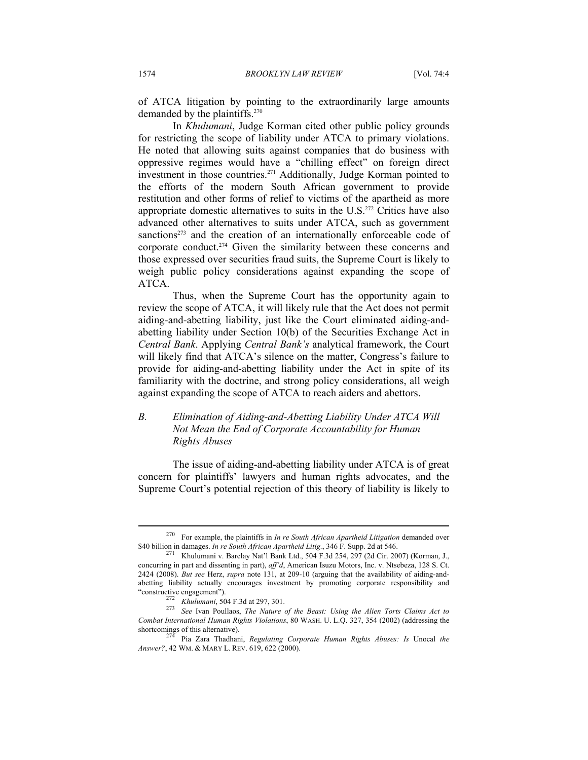of ATCA litigation by pointing to the extraordinarily large amounts demanded by the plaintiffs.<sup>270</sup>

In *Khulumani*, Judge Korman cited other public policy grounds for restricting the scope of liability under ATCA to primary violations. He noted that allowing suits against companies that do business with oppressive regimes would have a "chilling effect" on foreign direct investment in those countries.271 Additionally, Judge Korman pointed to the efforts of the modern South African government to provide restitution and other forms of relief to victims of the apartheid as more appropriate domestic alternatives to suits in the  $U.S.<sup>272</sup>$  Critics have also advanced other alternatives to suits under ATCA, such as government sanctions<sup>273</sup> and the creation of an internationally enforceable code of corporate conduct.274 Given the similarity between these concerns and those expressed over securities fraud suits, the Supreme Court is likely to weigh public policy considerations against expanding the scope of ATCA.

Thus, when the Supreme Court has the opportunity again to review the scope of ATCA, it will likely rule that the Act does not permit aiding-and-abetting liability, just like the Court eliminated aiding-andabetting liability under Section 10(b) of the Securities Exchange Act in *Central Bank*. Applying *Central Bank's* analytical framework, the Court will likely find that ATCA's silence on the matter, Congress's failure to provide for aiding-and-abetting liability under the Act in spite of its familiarity with the doctrine, and strong policy considerations, all weigh against expanding the scope of ATCA to reach aiders and abettors.

# *B. Elimination of Aiding-and-Abetting Liability Under ATCA Will Not Mean the End of Corporate Accountability for Human Rights Abuses*

The issue of aiding-and-abetting liability under ATCA is of great concern for plaintiffs' lawyers and human rights advocates, and the Supreme Court's potential rejection of this theory of liability is likely to

<sup>270</sup> For example, the plaintiffs in *In re South African Apartheid Litigation* demanded over

<sup>\$40</sup> billion in damages. *In re South African Apartheid Litig.*, 346 F. Supp. 2d at 546. 271 Khulumani v. Barclay Nat'l Bank Ltd., 504 F.3d 254, 297 (2d Cir. 2007) (Korman, J., concurring in part and dissenting in part), *aff'd*, American Isuzu Motors, Inc. v. Ntsebeza, 128 S. Ct. 2424 (2008). *But see* Herz, *supra* note 131, at 209-10 (arguing that the availability of aiding-andabetting liability actually encourages investment by promoting corporate responsibility and

<sup>&</sup>quot;constructive engagement"). 272 *Khulumani*, 504 F.3d at 297, 301. 273 *See* Ivan Poullaos, *The Nature of the Beast: Using the Alien Torts Claims Act to Combat International Human Rights Violations*, 80 WASH. U. L.Q. 327, 354 (2002) (addressing the shortcomings of this alternative). 274 Pia Zara Thadhani, *Regulating Corporate Human Rights Abuses: Is* Unocal *the* 

*Answer?*, 42 WM. & MARY L. REV. 619, 622 (2000).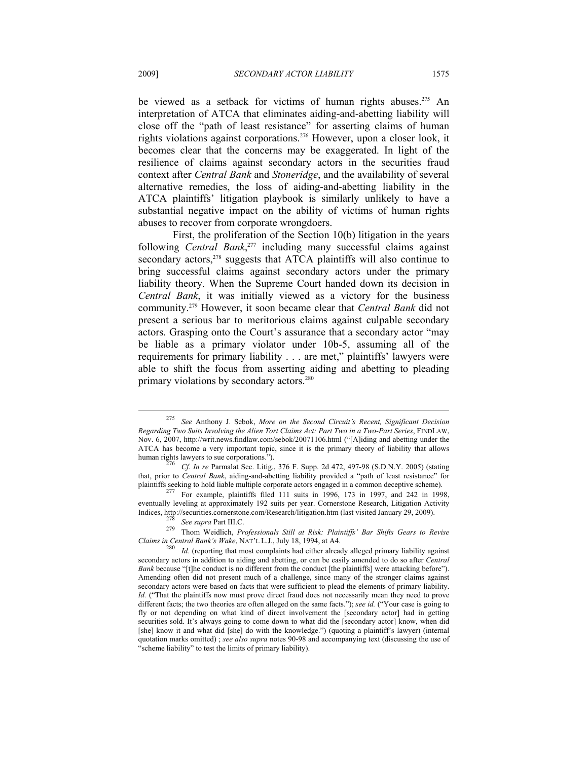be viewed as a setback for victims of human rights abuses.<sup>275</sup> An interpretation of ATCA that eliminates aiding-and-abetting liability will close off the "path of least resistance" for asserting claims of human rights violations against corporations.276 However, upon a closer look, it becomes clear that the concerns may be exaggerated. In light of the resilience of claims against secondary actors in the securities fraud context after *Central Bank* and *Stoneridge*, and the availability of several alternative remedies, the loss of aiding-and-abetting liability in the ATCA plaintiffs' litigation playbook is similarly unlikely to have a substantial negative impact on the ability of victims of human rights abuses to recover from corporate wrongdoers.

First, the proliferation of the Section 10(b) litigation in the years following *Central Bank*, 277 including many successful claims against secondary actors,<sup>278</sup> suggests that ATCA plaintiffs will also continue to bring successful claims against secondary actors under the primary liability theory. When the Supreme Court handed down its decision in *Central Bank*, it was initially viewed as a victory for the business community.279 However, it soon became clear that *Central Bank* did not present a serious bar to meritorious claims against culpable secondary actors. Grasping onto the Court's assurance that a secondary actor "may be liable as a primary violator under 10b-5, assuming all of the requirements for primary liability . . . are met," plaintiffs' lawyers were able to shift the focus from asserting aiding and abetting to pleading primary violations by secondary actors.<sup>280</sup>

<sup>275</sup> *See* Anthony J. Sebok, *More on the Second Circuit's Recent, Significant Decision Regarding Two Suits Involving the Alien Tort Claims Act: Part Two in a Two-Part Series*, FINDLAW, Nov. 6, 2007, http://writ.news.findlaw.com/sebok/20071106.html ("[A]iding and abetting under the ATCA has become a very important topic, since it is the primary theory of liability that allows

human rights lawyers to sue corporations.").<br><sup>276</sup> *Cf. In re* Parmalat Sec. Litig., 376 F. Supp. 2d 472, 497-98 (S.D.N.Y. 2005) (stating that, prior to *Central Bank*, aiding-and-abetting liability provided a "path of least resistance" for plaintiffs seeking to hold liable multiple corporate actors engaged in a common deceptive scheme).

plant section of the multiple corporate actors engaged in a common deceptive scheme of  $277$  For example, plaintiffs filed 111 suits in 1996, 173 in 1997, and 242 in 1998, eventually leveling at approximately 192 suits per year. Cornerstone Research, Litigation Activity Indices, http://securities.cornerstone.com/Research/litigation.htm (last visited January 29, 2009).

<sup>&</sup>lt;sup>2/8</sup> See supra Part III.C.<br><sup>279</sup> Thom Weidlich, *Professionals Still at Risk: Plaintiffs' Bar Shifts Gears to Revise Claims in Central Bank's Wake*, NAT'L L.J., July 18, 1994, at A4. <sup>280</sup> *Id.* (reporting that most complaints had either already alleged primary liability against

secondary actors in addition to aiding and abetting, or can be easily amended to do so after *Central Bank* because "[t]he conduct is no different from the conduct [the plaintiffs] were attacking before"). Amending often did not present much of a challenge, since many of the stronger claims against secondary actors were based on facts that were sufficient to plead the elements of primary liability. *Id.* ("That the plaintiffs now must prove direct fraud does not necessarily mean they need to prove different facts; the two theories are often alleged on the same facts."); *see id.* ("Your case is going to fly or not depending on what kind of direct involvement the [secondary actor] had in getting securities sold. It's always going to come down to what did the [secondary actor] know, when did [she] know it and what did [she] do with the knowledge.") (quoting a plaintiff's lawyer) (internal quotation marks omitted) ; *see also supra* notes 90-98 and accompanying text (discussing the use of "scheme liability" to test the limits of primary liability).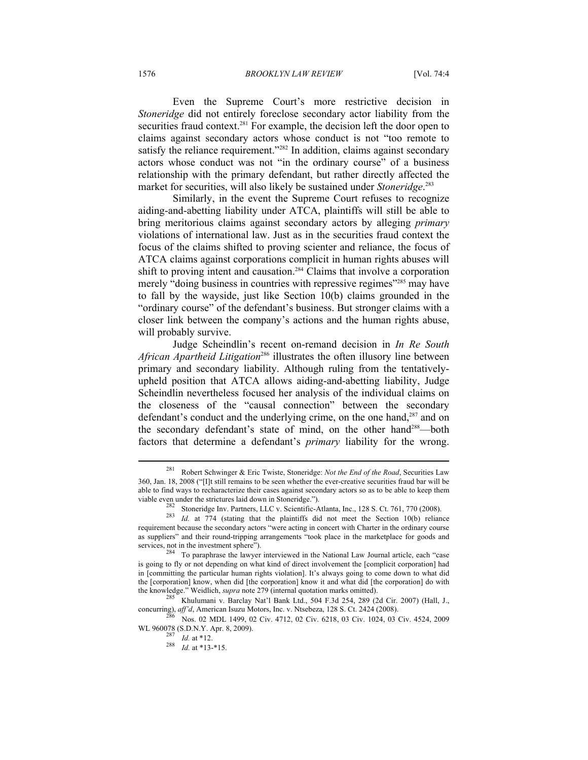1576 *BROOKLYN LAW REVIEW* [Vol. 74:4

Even the Supreme Court's more restrictive decision in *Stoneridge* did not entirely foreclose secondary actor liability from the securities fraud context.<sup>281</sup> For example, the decision left the door open to claims against secondary actors whose conduct is not "too remote to satisfy the reliance requirement."<sup>282</sup> In addition, claims against secondary actors whose conduct was not "in the ordinary course" of a business relationship with the primary defendant, but rather directly affected the market for securities, will also likely be sustained under *Stoneridge*. 283

Similarly, in the event the Supreme Court refuses to recognize aiding-and-abetting liability under ATCA, plaintiffs will still be able to bring meritorious claims against secondary actors by alleging *primary* violations of international law. Just as in the securities fraud context the focus of the claims shifted to proving scienter and reliance, the focus of ATCA claims against corporations complicit in human rights abuses will shift to proving intent and causation.<sup>284</sup> Claims that involve a corporation merely "doing business in countries with repressive regimes"<sup>285</sup> may have to fall by the wayside, just like Section 10(b) claims grounded in the "ordinary course" of the defendant's business. But stronger claims with a closer link between the company's actions and the human rights abuse, will probably survive.

Judge Scheindlin's recent on-remand decision in *In Re South African Apartheid Litigation*286 illustrates the often illusory line between primary and secondary liability. Although ruling from the tentativelyupheld position that ATCA allows aiding-and-abetting liability, Judge Scheindlin nevertheless focused her analysis of the individual claims on the closeness of the "causal connection" between the secondary defendant's conduct and the underlying crime, on the one hand,<sup>287</sup> and on the secondary defendant's state of mind, on the other hand<sup>288</sup>—both factors that determine a defendant's *primary* liability for the wrong.

<sup>281</sup> Robert Schwinger & Eric Twiste, Stoneridge: *Not the End of the Road*, Securities Law 360, Jan. 18, 2008 ("[I]t still remains to be seen whether the ever-creative securities fraud bar will be able to find ways to recharacterize their cases against secondary actors so as to be able to keep them

viable even under the strictures laid down in Stoneridge.").<br><sup>282</sup> Stoneridge Inv. Partners, LLC v. Scientific-Atlanta, Inc., 128 S. Ct. 761, 770 (2008).<br><sup>283</sup> *Id.* at 774 (stating that the plaintiffs did not meet the Sec requirement because the secondary actors "were acting in concert with Charter in the ordinary course as suppliers" and their round-tripping arrangements "took place in the marketplace for goods and services, not in the investment sphere").<br><sup>284</sup> To paraphrase the lawyer interviewed in the National Law Journal article, each "case

is going to fly or not depending on what kind of direct involvement the [complicit corporation] had in [committing the particular human rights violation]. It's always going to come down to what did the [corporation] know, when did [the corporation] know it and what did [the corporation] do with the knowledge." Weidlich, *supra* note 279 (internal quotation marks omitted).

Khulumani v. Barclay Nat'l Bank Ltd., 504 F.3d 254, 289 (2d Cir. 2007) (Hall, J.,

concurring), *aff'd*, American Isuzu Motors, Inc. v. Ntsebeza, 128 S. Ct. 2424 (2008).<br><sup>286</sup> Nos. 02 MDL 1499, 02 Civ. 4712, 02 Civ. 6218, 03 Civ. 1024, 03 Civ. 4524, 2009<br>WL 960078 (S.D.N.Y. Apr. 8, 2009).

 $\frac{287}{287}$  *Id.* at \*12.<br><sup>288</sup> *Id.* at \*13-\*15.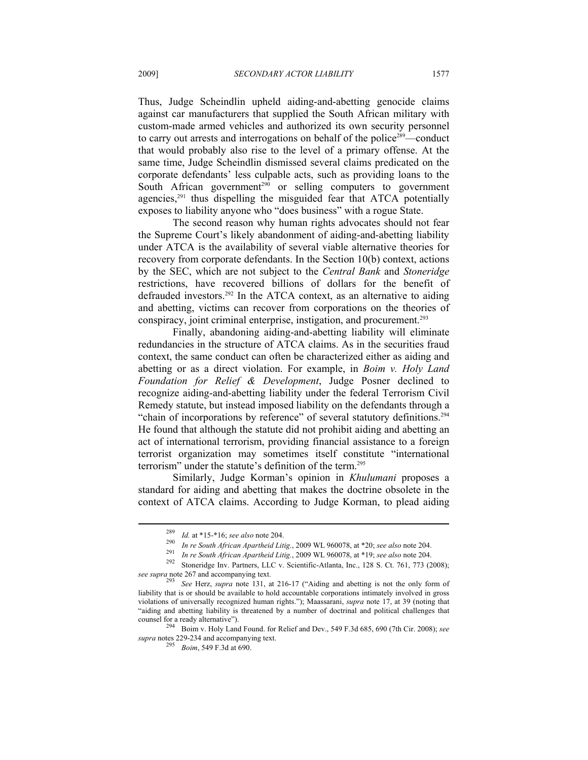Thus, Judge Scheindlin upheld aiding-and-abetting genocide claims against car manufacturers that supplied the South African military with custom-made armed vehicles and authorized its own security personnel to carry out arrests and interrogations on behalf of the police<sup>289</sup>—conduct that would probably also rise to the level of a primary offense. At the same time, Judge Scheindlin dismissed several claims predicated on the corporate defendants' less culpable acts, such as providing loans to the South African government<sup>290</sup> or selling computers to government agencies, $291$  thus dispelling the misguided fear that ATCA potentially exposes to liability anyone who "does business" with a rogue State.

The second reason why human rights advocates should not fear the Supreme Court's likely abandonment of aiding-and-abetting liability under ATCA is the availability of several viable alternative theories for recovery from corporate defendants. In the Section 10(b) context, actions by the SEC, which are not subject to the *Central Bank* and *Stoneridge* restrictions, have recovered billions of dollars for the benefit of defrauded investors.292 In the ATCA context, as an alternative to aiding and abetting, victims can recover from corporations on the theories of conspiracy, joint criminal enterprise, instigation, and procurement.<sup>293</sup>

Finally, abandoning aiding-and-abetting liability will eliminate redundancies in the structure of ATCA claims. As in the securities fraud context, the same conduct can often be characterized either as aiding and abetting or as a direct violation. For example, in *Boim v. Holy Land Foundation for Relief & Development*, Judge Posner declined to recognize aiding-and-abetting liability under the federal Terrorism Civil Remedy statute, but instead imposed liability on the defendants through a "chain of incorporations by reference" of several statutory definitions.<sup>294</sup> He found that although the statute did not prohibit aiding and abetting an act of international terrorism, providing financial assistance to a foreign terrorist organization may sometimes itself constitute "international terrorism" under the statute's definition of the term.295

Similarly, Judge Korman's opinion in *Khulumani* proposes a standard for aiding and abetting that makes the doctrine obsolete in the context of ATCA claims. According to Judge Korman, to plead aiding

<sup>&</sup>lt;sup>289</sup> *Id.* at \*15-\*16; see also note 204.<br> *In re South African Apartheid Litig.*, 2009 WL 960078, at \*20; see also note 204.<br> *In re South African Apartheid Litig.*, 2009 WL 960078, at \*19; see also note 204.<br>
Stoneridg *see supra* note 267 and accompanying text.

See Herz, *supra* note 131, at 216-17 ("Aiding and abetting is not the only form of liability that is or should be available to hold accountable corporations intimately involved in gross violations of universally recognized human rights."); Maassarani, *supra* note 17, at 39 (noting that "aiding and abetting liability is threatened by a number of doctrinal and political challenges that

counsel for a ready alternative"). 294 Boim v. Holy Land Found. for Relief and Dev., 549 F.3d 685, 690 (7th Cir. 2008); *see supra* notes 229-234 and accompanying text. 295 *Boim*, 549 F.3d at 690.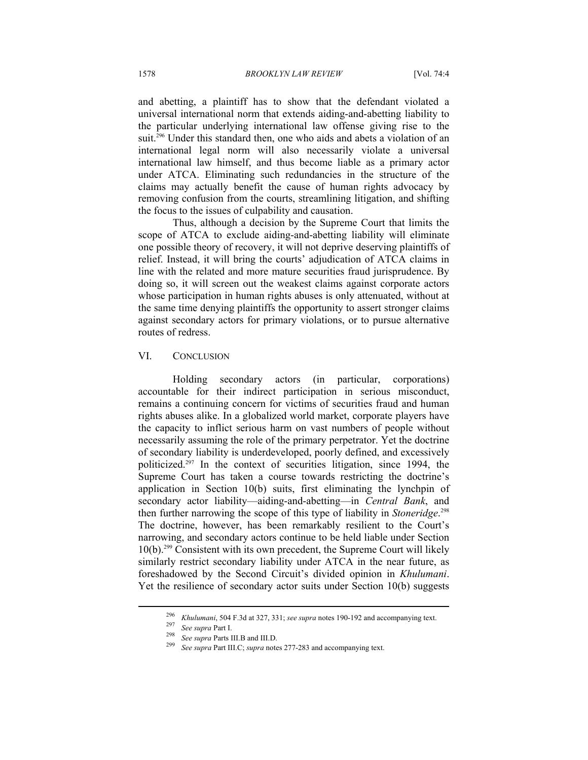and abetting, a plaintiff has to show that the defendant violated a universal international norm that extends aiding-and-abetting liability to the particular underlying international law offense giving rise to the suit.<sup>296</sup> Under this standard then, one who aids and abets a violation of an international legal norm will also necessarily violate a universal international law himself, and thus become liable as a primary actor under ATCA. Eliminating such redundancies in the structure of the claims may actually benefit the cause of human rights advocacy by removing confusion from the courts, streamlining litigation, and shifting the focus to the issues of culpability and causation.

Thus, although a decision by the Supreme Court that limits the scope of ATCA to exclude aiding-and-abetting liability will eliminate one possible theory of recovery, it will not deprive deserving plaintiffs of relief. Instead, it will bring the courts' adjudication of ATCA claims in line with the related and more mature securities fraud jurisprudence. By doing so, it will screen out the weakest claims against corporate actors whose participation in human rights abuses is only attenuated, without at the same time denying plaintiffs the opportunity to assert stronger claims against secondary actors for primary violations, or to pursue alternative routes of redress.

#### VI. CONCLUSION

Holding secondary actors (in particular, corporations) accountable for their indirect participation in serious misconduct, remains a continuing concern for victims of securities fraud and human rights abuses alike. In a globalized world market, corporate players have the capacity to inflict serious harm on vast numbers of people without necessarily assuming the role of the primary perpetrator. Yet the doctrine of secondary liability is underdeveloped, poorly defined, and excessively politicized.297 In the context of securities litigation, since 1994, the Supreme Court has taken a course towards restricting the doctrine's application in Section 10(b) suits, first eliminating the lynchpin of secondary actor liability—aiding-and-abetting—in *Central Bank*, and then further narrowing the scope of this type of liability in *Stoneridge*. 298 The doctrine, however, has been remarkably resilient to the Court's narrowing, and secondary actors continue to be held liable under Section 10(b).299 Consistent with its own precedent, the Supreme Court will likely similarly restrict secondary liability under ATCA in the near future, as foreshadowed by the Second Circuit's divided opinion in *Khulumani*. Yet the resilience of secondary actor suits under Section 10(b) suggests

<sup>&</sup>lt;sup>296</sup> *Khulumani*, 504 F.3d at 327, 331; *see supra* notes 190-192 and accompanying text.<br><sup>297</sup> *See supra* Part I.<br><sup>298</sup> *See supra* Parts III.B and III.D.<br><sup>299</sup> *See supra* Part III.C; *supra* notes 277-283 and accompan